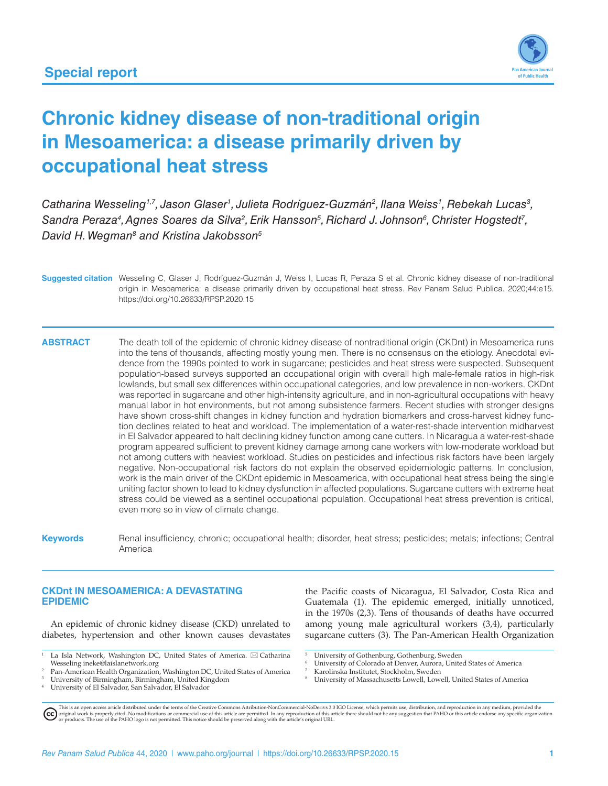

# **Chronic kidney disease of non-traditional origin in Mesoamerica: a disease primarily driven by occupational heat stress**

Catharina Wesseling<sup>1,7</sup>, Jason Glaser<sup>1</sup>, Julieta Rodríguez-Guzmán<sup>2</sup>, Ilana Weiss<sup>1</sup>, Rebekah Lucas<sup>3</sup>, Sandra Peraza<sup>4</sup>, Agnes Soares da Silva<sup>2</sup>, Erik Hansson<sup>5</sup>, Richard J. Johnson<sup>6</sup>, Christer Hogstedt<sup>7</sup>, David H. Wegman<sup>8</sup> and Kristina Jakobsson<sup>5</sup>

**Suggested citation** Wesseling C, Glaser J, Rodríguez-Guzmán J, Weiss I, Lucas R, Peraza S et al. Chronic kidney disease of non-traditional origin in Mesoamerica: a disease primarily driven by occupational heat stress. Rev Panam Salud Publica. 2020;44:e15. <https://doi.org/10.26633/RPSP.2020.15>

**ABSTRACT** The death toll of the epidemic of chronic kidney disease of nontraditional origin (CKDnt) in Mesoamerica runs into the tens of thousands, affecting mostly young men. There is no consensus on the etiology. Anecdotal evidence from the 1990s pointed to work in sugarcane; pesticides and heat stress were suspected. Subsequent population-based surveys supported an occupational origin with overall high male-female ratios in high-risk lowlands, but small sex differences within occupational categories, and low prevalence in non-workers. CKDnt was reported in sugarcane and other high-intensity agriculture, and in non-agricultural occupations with heavy manual labor in hot environments, but not among subsistence farmers. Recent studies with stronger designs have shown cross-shift changes in kidney function and hydration biomarkers and cross-harvest kidney function declines related to heat and workload. The implementation of a water-rest-shade intervention midharvest in El Salvador appeared to halt declining kidney function among cane cutters. In Nicaragua a water-rest-shade program appeared sufficient to prevent kidney damage among cane workers with low-moderate workload but not among cutters with heaviest workload. Studies on pesticides and infectious risk factors have been largely negative. Non-occupational risk factors do not explain the observed epidemiologic patterns. In conclusion, work is the main driver of the CKDnt epidemic in Mesoamerica, with occupational heat stress being the single uniting factor shown to lead to kidney dysfunction in affected populations. Sugarcane cutters with extreme heat stress could be viewed as a sentinel occupational population. Occupational heat stress prevention is critical, even more so in view of climate change.

**Keywords** Renal insufficiency, chronic; occupational health; disorder, heat stress; pesticides; metals; infections; Central America

### **CKDnt IN MESOAMERICA: A DEVASTATING EPIDEMIC**

An epidemic of chronic kidney disease (CKD) unrelated to diabetes, hypertension and other known causes devastates

<sup>4</sup> University of El Salvador, San Salvador, El Salvador

the Pacific coasts of Nicaragua, El Salvador, Costa Rica and Guatemala (1). The epidemic emerged, initially unnoticed, in the 1970s (2,3). Tens of thousands of deaths have occurred among young male agricultural workers (3,4), particularly sugarcane cutters (3). The Pan-American Health Organization

- <sup>5</sup> University of Gothenburg, Gothenburg, Sweden
- <sup>6</sup> University of Colorado at Denver, Aurora, United States of America
- <sup>7</sup> Karolinska Institutet, Stockholm, Sweden
- <sup>8</sup> University of Massachusetts Lowell, Lowell, United States of America

This is an open access article distributed under the terms of the Creative Commons Attribution-NonCommercial-NoDerivs 3.0 IGO License, which permits use, distribution, and reproduction in any medium, provided the<br>orignal w

La Isla Network, Washington DC, United States of America.  $\boxtimes$  Catharina

Wesseling <ineke@laislanetwork.org><br>2 Pan-American Health Organization, Washington DC, United States of America

<sup>3</sup> University of Birmingham, Birmingham, United Kingdom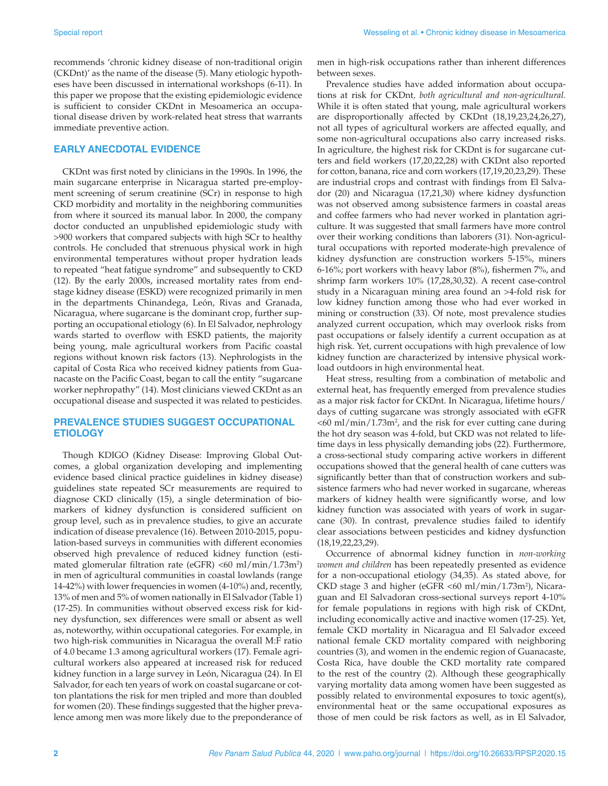recommends 'chronic kidney disease of non-traditional origin (CKDnt)' as the name of the disease (5). Many etiologic hypotheses have been discussed in international workshops (6-11). In this paper we propose that the existing epidemiologic evidence is sufficient to consider CKDnt in Mesoamerica an occupational disease driven by work-related heat stress that warrants immediate preventive action.

#### **EARLY ANECDOTAL EVIDENCE**

CKDnt was first noted by clinicians in the 1990s. In 1996, the main sugarcane enterprise in Nicaragua started pre-employment screening of serum creatinine (SCr) in response to high CKD morbidity and mortality in the neighboring communities from where it sourced its manual labor. In 2000, the company doctor conducted an unpublished epidemiologic study with >900 workers that compared subjects with high SCr to healthy controls. He concluded that strenuous physical work in high environmental temperatures without proper hydration leads to repeated "heat fatigue syndrome" and subsequently to CKD (12). By the early 2000s, increased mortality rates from endstage kidney disease (ESKD) were recognized primarily in men in the departments Chinandega, León, Rivas and Granada, Nicaragua, where sugarcane is the dominant crop, further supporting an occupational etiology (6). In El Salvador, nephrology wards started to overflow with ESKD patients, the majority being young, male agricultural workers from Pacific coastal regions without known risk factors (13). Nephrologists in the capital of Costa Rica who received kidney patients from Guanacaste on the Pacific Coast, began to call the entity "sugarcane worker nephropathy" (14). Most clinicians viewed CKDnt as an occupational disease and suspected it was related to pesticides.

#### **PREVALENCE STUDIES SUGGEST OCCUPATIONAL ETIOLOGY**

Though KDIGO (Kidney Disease: Improving Global Outcomes, a global organization developing and implementing evidence based clinical practice guidelines in kidney disease) guidelines state repeated SCr measurements are required to diagnose CKD clinically (15), a single determination of biomarkers of kidney dysfunction is considered sufficient on group level, such as in prevalence studies, to give an accurate indication of disease prevalence (16). Between 2010-2015, population-based surveys in communities with different economies observed high prevalence of reduced kidney function (estimated glomerular filtration rate (eGFR) <60 ml/min/1.73m2 ) in men of agricultural communities in coastal lowlands (range 14-42%) with lower frequencies in women (4-10%) and, recently, 13% of men and 5% of women nationally in El Salvador (Table 1) (17-25). In communities without observed excess risk for kidney dysfunction, sex differences were small or absent as well as, noteworthy, within occupational categories. For example, in two high-risk communities in Nicaragua the overall M:F ratio of 4.0 became 1.3 among agricultural workers (17). Female agricultural workers also appeared at increased risk for reduced kidney function in a large survey in León, Nicaragua (24). In El Salvador, for each ten years of work on coastal sugarcane or cotton plantations the risk for men tripled and more than doubled for women (20). These findings suggested that the higher prevalence among men was more likely due to the preponderance of

men in high-risk occupations rather than inherent differences between sexes.

Prevalence studies have added information about occupations at risk for CKDnt*, both agricultural and non-agricultural.* While it is often stated that young, male agricultural workers are disproportionally affected by CKDnt (18,19,23,24,26,27), not all types of agricultural workers are affected equally, and some non-agricultural occupations also carry increased risks. In agriculture, the highest risk for CKDnt is for sugarcane cutters and field workers (17,20,22,28) with CKDnt also reported for cotton, banana, rice and corn workers (17,19,20,23,29). These are industrial crops and contrast with findings from El Salvador (20) and Nicaragua (17,21,30) where kidney dysfunction was not observed among subsistence farmers in coastal areas and coffee farmers who had never worked in plantation agriculture. It was suggested that small farmers have more control over their working conditions than laborers (31). Non-agricultural occupations with reported moderate-high prevalence of kidney dysfunction are construction workers 5-15%, miners 6-16%; port workers with heavy labor (8%), fishermen 7%, and shrimp farm workers 10% (17,28,30,32). A recent case-control study in a Nicaraguan mining area found an >4-fold risk for low kidney function among those who had ever worked in mining or construction (33). Of note, most prevalence studies analyzed current occupation, which may overlook risks from past occupations or falsely identify a current occupation as at high risk. Yet, current occupations with high prevalence of low kidney function are characterized by intensive physical workload outdoors in high environmental heat.

Heat stress, resulting from a combination of metabolic and external heat, has frequently emerged from prevalence studies as a major risk factor for CKDnt. In Nicaragua, lifetime hours/ days of cutting sugarcane was strongly associated with eGFR  $<$  60 ml/min/1.73m<sup>2</sup>, and the risk for ever cutting cane during the hot dry season was 4-fold, but CKD was not related to lifetime days in less physically demanding jobs (22). Furthermore, a cross-sectional study comparing active workers in different occupations showed that the general health of cane cutters was significantly better than that of construction workers and subsistence farmers who had never worked in sugarcane, whereas markers of kidney health were significantly worse, and low kidney function was associated with years of work in sugarcane (30). In contrast, prevalence studies failed to identify clear associations between pesticides and kidney dysfunction (18,19,22,23,29).

Occurrence of abnormal kidney function in *non-working women and children* has been repeatedly presented as evidence for a non-occupational etiology (34,35). As stated above, for CKD stage 3 and higher (eGFR <60 ml/min/1.73m<sup>2</sup>), Nicaraguan and El Salvadoran cross-sectional surveys report 4-10% for female populations in regions with high risk of CKDnt, including economically active and inactive women (17-25). Yet, female CKD mortality in Nicaragua and El Salvador exceed national female CKD mortality compared with neighboring countries (3), and women in the endemic region of Guanacaste, Costa Rica, have double the CKD mortality rate compared to the rest of the country (2). Although these geographically varying mortality data among women have been suggested as possibly related to environmental exposures to toxic agent(s), environmental heat or the same occupational exposures as those of men could be risk factors as well, as in El Salvador,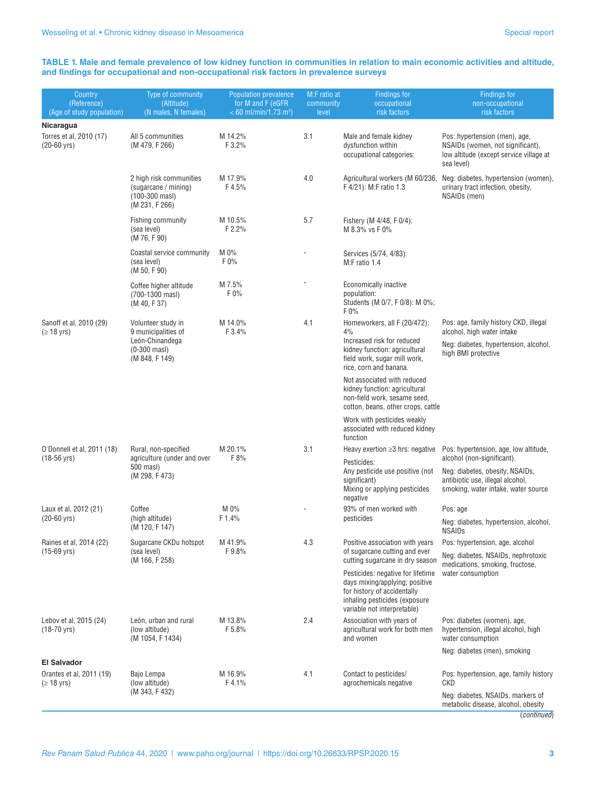#### **TABLE 1. Male and female prevalence of low kidney function in communities in relation to main economic activities and altitude, and findings for occupational and non-occupational risk factors in prevalence surveys**

| Country<br>(Reference)<br>(Age of study population) | Type of community<br>(Altitude)<br>(N males, N females)                                                 | <b>Population prevalence</b><br>for M and F (eGFR)<br>$< 60$ ml/min/1.73 m <sup>2</sup> ) | M:F ratio at<br>community<br>level | <b>Findings for</b><br>occupational<br>risk factors                                                                                                                | <b>Findings for</b><br>non-occupational<br>risk factors                                                                             |
|-----------------------------------------------------|---------------------------------------------------------------------------------------------------------|-------------------------------------------------------------------------------------------|------------------------------------|--------------------------------------------------------------------------------------------------------------------------------------------------------------------|-------------------------------------------------------------------------------------------------------------------------------------|
| Nicaragua                                           |                                                                                                         |                                                                                           |                                    |                                                                                                                                                                    |                                                                                                                                     |
| Torres et al, 2010 (17)<br>$(20-60 \text{ yrs})$    | All 5 communities<br>(M 479, F 266)                                                                     | M 14.2%<br>F 3.2%                                                                         | 3.1                                | Male and female kidney<br>dysfunction within<br>occupational categories:                                                                                           | Pos: hypertension (men), age,<br>NSAIDs (women, not significant),<br>low altitude (except service village at<br>sea level)          |
|                                                     | 2 high risk communities<br>(sugarcane / mining)<br>(100-300 masl)<br>(M 231, F 266)                     | M 17.9%<br>F4.5%                                                                          | 4.0                                | Agricultural workers (M 60/236,<br>F 4/21): M:F ratio 1.3                                                                                                          | Neg: diabetes, hypertension (women),<br>urinary tract infection, obesity,<br>NSAIDs (men)                                           |
|                                                     | Fishing community<br>(sea level)<br>(M 76, F 90)                                                        | M 10.5%<br>F 2.2%                                                                         | 5.7                                | Fishery (M 4/48, F 0/4):<br>M 8.3% vs F 0%                                                                                                                         |                                                                                                                                     |
|                                                     | Coastal service community<br>(sea level)<br>(M 50, F 90)                                                | M 0%<br>F 0%                                                                              |                                    | Services (5/74, 4/83):<br>M:F ratio 1.4                                                                                                                            |                                                                                                                                     |
|                                                     | Coffee higher altitude<br>(700-1300 masl)<br>(M 40, F 37)                                               | M 7.5%<br>F 0%                                                                            |                                    | Economically inactive<br>population:<br>Students (M 0/7, F 0/8): M 0%;<br>F 0%                                                                                     |                                                                                                                                     |
| Sanoff et al, 2010 (29)<br>$( \geq 18 \text{ yrs})$ | Volunteer study in<br>9 municipalities of<br>León-Chinandega<br>$(0-300 \text{ mas})$<br>(M 848, F 149) | M 14.0%<br>F 3.4%                                                                         | 4.1                                | Homeworkers, all F (20/472):<br>4%                                                                                                                                 | Pos: age, family history CKD, illegal<br>alcohol, high water intake<br>Neg: diabetes, hypertension, alcohol,<br>high BMI protective |
|                                                     |                                                                                                         |                                                                                           |                                    | Increased risk for reduced<br>kidney function: agricultural<br>field work, sugar mill work,<br>rice, corn and banana.                                              |                                                                                                                                     |
|                                                     |                                                                                                         |                                                                                           |                                    | Not associated with reduced<br>kidney function: agricultural<br>non-field work, sesame seed,<br>cotton, beans, other crops, cattle                                 |                                                                                                                                     |
|                                                     |                                                                                                         |                                                                                           |                                    | Work with pesticides weakly<br>associated with reduced kidney<br>function                                                                                          |                                                                                                                                     |
| 0'Donnell et al, 2011 (18)<br>$(18-56 \text{ yrs})$ | Rural, non-specified<br>agriculture (under and over<br>500 masl)<br>(M 298, F 473)                      | M 20.1%<br>F 8%                                                                           | 3.1                                | Heavy exertion $\geq$ 3 hrs: negative<br>Pesticides:                                                                                                               | Pos: hypertension, age, low altitude,<br>alcohol (non-significant).                                                                 |
|                                                     |                                                                                                         |                                                                                           |                                    | Any pesticide use positive (not<br>significant)<br>Mixing or applying pesticides<br>negative                                                                       | Neg: diabetes, obesity, NSAIDs,<br>antibiotic use, illegal alcohol,<br>smoking, water intake, water source                          |
| Laux et al, 2012 (21)                               | Coffee<br>(high altitude)<br>(M 120, F 147)                                                             | M 0%<br>F 1.4%                                                                            |                                    | 93% of men worked with<br>pesticides                                                                                                                               | Pos: age                                                                                                                            |
| $(20-60 \text{ yrs})$                               |                                                                                                         |                                                                                           |                                    |                                                                                                                                                                    | Neg: diabetes, hypertension, alcohol,<br><b>NSAIDs</b>                                                                              |
| Raines et al, 2014 (22)<br>$(15-69 \text{ yrs})$    | Sugarcane CKDu hotspot<br>(sea level)<br>(M 166, F 258)                                                 | M 41.9%<br>F9.8%                                                                          | 4.3                                | Positive association with years<br>of sugarcane cutting and ever<br>cutting sugarcane in dry season                                                                | Pos: hypertension, age, alcohol<br>Neg: diabetes, NSAIDs, nephrotoxic                                                               |
|                                                     |                                                                                                         |                                                                                           |                                    |                                                                                                                                                                    | medications, smoking, fructose,<br>water consumption                                                                                |
|                                                     |                                                                                                         |                                                                                           |                                    | Pesticides: negative for lifetime<br>days mixing/applying; positive<br>for history of accidentally<br>inhaling pesticides (exposure<br>variable not interpretable) |                                                                                                                                     |
| Lebov et al, 2015 (24)<br>$(18-70 \,\text{yrs})$    | León, urban and rural<br>(low altitude)<br>(M 1054, F 1434)                                             | M 13.8%<br>F 5.8%                                                                         | 2.4                                | Association with years of<br>agricultural work for both men<br>and women                                                                                           | Pos: diabetes (women), age,<br>hypertension, illegal alcohol, high<br>water consumption                                             |
| <b>El Salvador</b>                                  |                                                                                                         |                                                                                           |                                    |                                                                                                                                                                    | Neg: diabetes (men), smoking                                                                                                        |
| Orantes et al, 2011 (19)<br>$(≥ 18 \text{ yrs})$    | Bajo Lempa<br>(low altitude)                                                                            | M 16.9%<br>F4.1%                                                                          | 4.1                                | Contact to pesticides/<br>agrochemicals negative                                                                                                                   | Pos: hypertension, age, family history<br>CKD                                                                                       |
|                                                     | (M 343, F 432)                                                                                          |                                                                                           |                                    |                                                                                                                                                                    | Neg: diabetes, NSAIDs, markers of<br>metabolic disease, alcohol, obesity<br>(continued)                                             |

*Rev Panam Salud Publica* 44, 2020 | [www.paho.org/](http://www.paho.org)journal | https://doi.org/10.26633/RPSP.2020.15 **3**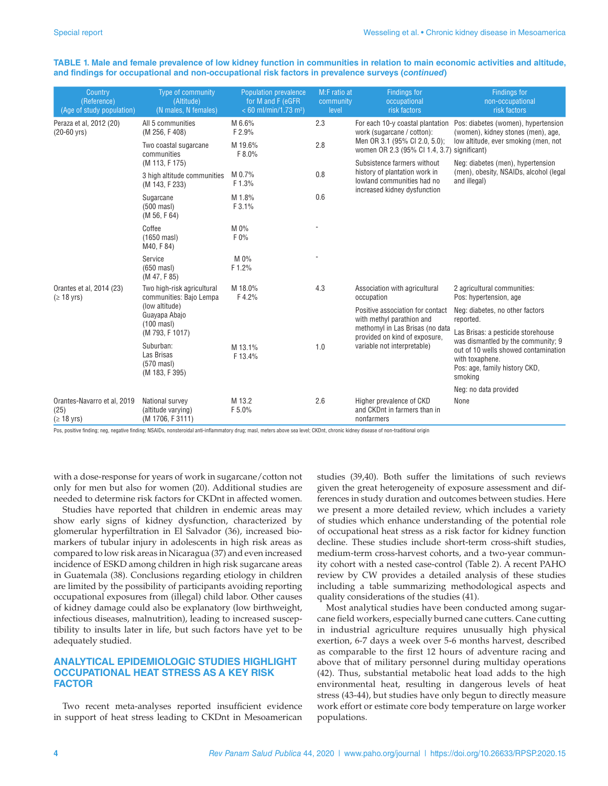| Country<br>(Reference)<br>(Age of study population)             | Type of community<br>(Altitude)<br>(N males, N females)                                                                            | <b>Population prevalence</b><br>for M and F (eGFR)<br>$< 60$ ml/min/1.73 m <sup>2</sup> ) | M:F ratio at<br>community<br>level | <b>Findings for</b><br>occupational<br>risk factors                                                                                                              | <b>Findings for</b><br>non-occupational<br>risk factors                                                                                   |
|-----------------------------------------------------------------|------------------------------------------------------------------------------------------------------------------------------------|-------------------------------------------------------------------------------------------|------------------------------------|------------------------------------------------------------------------------------------------------------------------------------------------------------------|-------------------------------------------------------------------------------------------------------------------------------------------|
| Peraza et al, 2012 (20)<br>$(20-60 \text{ yrs})$                | All 5 communities<br>(M 256, F 408)                                                                                                | M 6.6%<br>F 2.9%                                                                          | 2.3                                | For each 10-y coastal plantation<br>work (sugarcane / cotton):<br>Men OR 3.1 (95% CI 2.0, 5.0);<br>women OR 2.3 (95% CI 1.4, 3.7) significant)                   | Pos: diabetes (women), hypertension<br>(women), kidney stones (men), age,<br>low altitude, ever smoking (men, not                         |
|                                                                 | Two coastal sugarcane<br>communities                                                                                               | M 19.6%<br>F 8.0%                                                                         | 2.8                                |                                                                                                                                                                  |                                                                                                                                           |
|                                                                 | (M 113, F 175)                                                                                                                     |                                                                                           |                                    | Subsistence farmers without<br>history of plantation work in<br>lowland communities had no<br>increased kidney dysfunction                                       | Neg: diabetes (men), hypertension<br>(men), obesity, NSAIDs, alcohol (legal)<br>and illegal)                                              |
|                                                                 | 3 high altitude communities<br>(M 143, F 233)                                                                                      | M 0.7%<br>F 1.3%                                                                          | 0.8                                |                                                                                                                                                                  |                                                                                                                                           |
|                                                                 | Sugarcane<br>$(500 \text{ mas})$<br>(M 56, F 64)                                                                                   | M 1.8%<br>F 3.1%                                                                          | 0.6                                |                                                                                                                                                                  |                                                                                                                                           |
|                                                                 | Coffee<br>$(1650 \text{ mas})$<br>M40, F 84)                                                                                       | M 0%<br>F 0%                                                                              |                                    |                                                                                                                                                                  |                                                                                                                                           |
|                                                                 | Service<br>$(650 \text{ mas})$<br>(M 47, F 85)                                                                                     | $M 0\%$<br>F 1.2%                                                                         |                                    |                                                                                                                                                                  |                                                                                                                                           |
| Orantes et al. 2014 (23)<br>$( \geq 18 \text{ yrs})$            | Two high-risk agricultural<br>communities: Bajo Lempa<br>(low altitude)<br>Guayapa Abajo<br>$(100 \text{ mas})$<br>(M 793, F 1017) | M 18.0%<br>F4.2%                                                                          | 4.3                                | Association with agricultural<br>occupation                                                                                                                      | 2 agricultural communities:<br>Pos: hypertension, age                                                                                     |
|                                                                 |                                                                                                                                    |                                                                                           |                                    | Positive association for contact<br>with methyl parathion and<br>methomyl in Las Brisas (no data<br>provided on kind of exposure,<br>variable not interpretable) | Neg: diabetes, no other factors<br>reported.                                                                                              |
|                                                                 |                                                                                                                                    |                                                                                           |                                    |                                                                                                                                                                  | Las Brisas: a pesticide storehouse                                                                                                        |
|                                                                 | Suburban:<br>Las Brisas<br>$(570 \text{ mas})$<br>(M 183, F 395)                                                                   | M 13.1%<br>F 13.4%                                                                        | 1.0                                |                                                                                                                                                                  | was dismantled by the community; 9<br>out of 10 wells showed contamination<br>with toxaphene.<br>Pos: age, family history CKD,<br>smoking |
|                                                                 |                                                                                                                                    |                                                                                           |                                    |                                                                                                                                                                  | Neg: no data provided                                                                                                                     |
| Orantes-Navarro et al, 2019<br>(25)<br>$( \geq 18 \text{ yrs})$ | National survey<br>(altitude varying)<br>(M 1706, F 3111)                                                                          | M 13.2<br>F 5.0%                                                                          | 2.6                                | Higher prevalence of CKD<br>and CKDnt in farmers than in<br>nonfarmers                                                                                           | None                                                                                                                                      |

**TABLE 1. Male and female prevalence of low kidney function in communities in relation to main economic activities and altitude, and findings for occupational and non-occupational risk factors in prevalence surveys (***continued***)**

Pos, positive finding; neg, negative finding; NSAIDs, nonsteroidal anti-inflammatory drug; masl, meters above sea level; CKDnt, chronic kidney disease of non-traditional origin

with a dose-response for years of work in sugarcane/cotton not only for men but also for women (20). Additional studies are needed to determine risk factors for CKDnt in affected women.

Studies have reported that children in endemic areas may show early signs of kidney dysfunction, characterized by glomerular hyperfiltration in El Salvador (36), increased biomarkers of tubular injury in adolescents in high risk areas as compared to low risk areas in Nicaragua (37) and even increased incidence of ESKD among children in high risk sugarcane areas in Guatemala (38). Conclusions regarding etiology in children are limited by the possibility of participants avoiding reporting occupational exposures from (illegal) child labor. Other causes of kidney damage could also be explanatory (low birthweight, infectious diseases, malnutrition), leading to increased susceptibility to insults later in life, but such factors have yet to be adequately studied.

#### **ANALYTICAL EPIDEMIOLOGIC STUDIES HIGHLIGHT OCCUPATIONAL HEAT STRESS AS A KEY RISK FACTOR**

Two recent meta-analyses reported insufficient evidence in support of heat stress leading to CKDnt in Mesoamerican studies (39,40). Both suffer the limitations of such reviews given the great heterogeneity of exposure assessment and differences in study duration and outcomes between studies. Here we present a more detailed review, which includes a variety of studies which enhance understanding of the potential role of occupational heat stress as a risk factor for kidney function decline. These studies include short-term cross-shift studies, medium-term cross-harvest cohorts, and a two-year community cohort with a nested case-control (Table 2). A recent PAHO review by CW provides a detailed analysis of these studies including a table summarizing methodological aspects and quality considerations of the studies (41).

Most analytical studies have been conducted among sugarcane field workers, especially burned cane cutters. Cane cutting in industrial agriculture requires unusually high physical exertion, 6-7 days a week over 5-6 months harvest, described as comparable to the first 12 hours of adventure racing and above that of military personnel during multiday operations (42). Thus, substantial metabolic heat load adds to the high environmental heat, resulting in dangerous levels of heat stress (43-44), but studies have only begun to directly measure work effort or estimate core body temperature on large worker populations.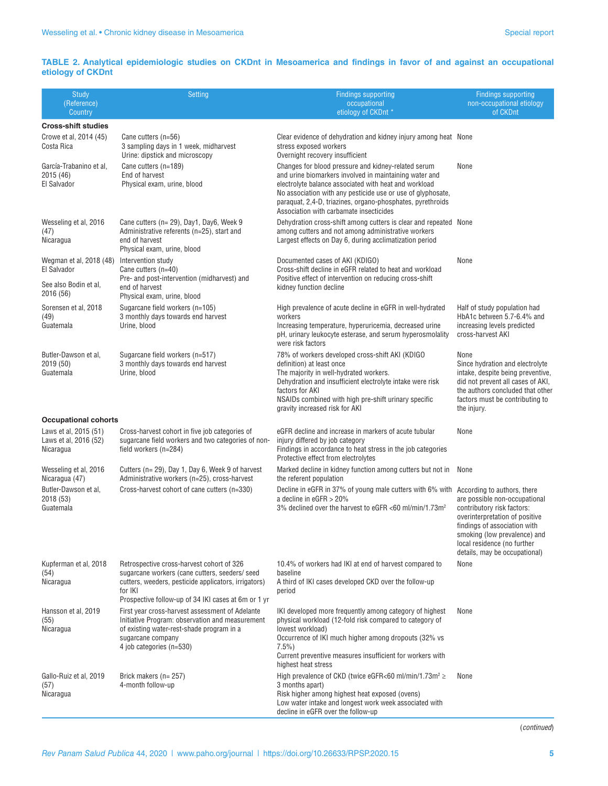### **TABLE 2. Analytical epidemiologic studies on CKDnt in Mesoamerica and findings in favor of and against an occupational etiology of CKDnt**

| Study<br>(Reference)<br>Country                                 | Setting                                                                                                                                                                                          | <b>Findings supporting</b><br>occupational<br>etiology of CKDnt *                                                                                                                                                                                                                                                                              | <b>Findings supporting</b><br>non-occupational etiology<br>of CKDnt                                                                                                                                                                                          |
|-----------------------------------------------------------------|--------------------------------------------------------------------------------------------------------------------------------------------------------------------------------------------------|------------------------------------------------------------------------------------------------------------------------------------------------------------------------------------------------------------------------------------------------------------------------------------------------------------------------------------------------|--------------------------------------------------------------------------------------------------------------------------------------------------------------------------------------------------------------------------------------------------------------|
| <b>Cross-shift studies</b>                                      |                                                                                                                                                                                                  |                                                                                                                                                                                                                                                                                                                                                |                                                                                                                                                                                                                                                              |
| Crowe et al, 2014 (45)<br>Costa Rica                            | Cane cutters (n=56)<br>3 sampling days in 1 week, midharvest<br>Urine: dipstick and microscopy                                                                                                   | Clear evidence of dehydration and kidney injury among heat None<br>stress exposed workers<br>Overnight recovery insufficient                                                                                                                                                                                                                   |                                                                                                                                                                                                                                                              |
| García-Trabanino et al,<br>2015 (46)<br>El Salvador             | Cane cutters (n=189)<br>End of harvest<br>Physical exam, urine, blood                                                                                                                            | Changes for blood pressure and kidney-related serum<br>and urine biomarkers involved in maintaining water and<br>electrolyte balance associated with heat and workload<br>No association with any pesticide use or use of glyphosate,<br>paraquat, 2,4-D, triazines, organo-phosphates, pyrethroids<br>Association with carbamate insecticides | None                                                                                                                                                                                                                                                         |
| Wesseling et al, 2016<br>(47)<br>Nicaragua                      | Cane cutters (n= 29), Day1, Day6, Week 9<br>Administrative referents (n=25), start and<br>end of harvest<br>Physical exam, urine, blood                                                          | Dehydration cross-shift among cutters is clear and repeated None<br>among cutters and not among administrative workers<br>Largest effects on Day 6, during acclimatization period                                                                                                                                                              |                                                                                                                                                                                                                                                              |
| Wegman et al, 2018 (48)<br>El Salvador<br>See also Bodin et al, | Intervention study<br>Cane cutters (n=40)<br>Pre- and post-intervention (midharvest) and<br>end of harvest                                                                                       | Documented cases of AKI (KDIGO)<br>Cross-shift decline in eGFR related to heat and workload<br>Positive effect of intervention on reducing cross-shift<br>kidney function decline                                                                                                                                                              | None                                                                                                                                                                                                                                                         |
| 2016 (56)                                                       | Physical exam, urine, blood                                                                                                                                                                      |                                                                                                                                                                                                                                                                                                                                                |                                                                                                                                                                                                                                                              |
| Sorensen et al, 2018<br>(49)<br>Guatemala                       | Sugarcane field workers (n=105)<br>3 monthly days towards end harvest<br>Urine, blood                                                                                                            | High prevalence of acute decline in eGFR in well-hydrated<br>workers<br>Increasing temperature, hyperuricemia, decreased urine<br>pH, urinary leukocyte esterase, and serum hyperosmolality<br>were risk factors                                                                                                                               | Half of study population had<br>HbA1c between 5.7-6.4% and<br>increasing levels predicted<br>cross-harvest AKI                                                                                                                                               |
| Butler-Dawson et al.<br>2019 (50)<br>Guatemala                  | Sugarcane field workers (n=517)<br>3 monthly days towards end harvest<br>Urine, blood                                                                                                            | 78% of workers developed cross-shift AKI (KDIGO<br>definition) at least once<br>The majority in well-hydrated workers.<br>Dehydration and insufficient electrolyte intake were risk<br>factors for AKI<br>NSAIDs combined with high pre-shift urinary specific<br>gravity increased risk for AKI                                               | None<br>Since hydration and electrolyte<br>intake, despite being preventive,<br>did not prevent all cases of AKI,<br>the authors concluded that other<br>factors must be contributing to<br>the injury.                                                      |
| <b>Occupational cohorts</b>                                     |                                                                                                                                                                                                  |                                                                                                                                                                                                                                                                                                                                                |                                                                                                                                                                                                                                                              |
| Laws et al, 2015 (51)<br>Laws et al, 2016 (52)<br>Nicaragua     | Cross-harvest cohort in five job categories of<br>sugarcane field workers and two categories of non-<br>field workers (n=284)                                                                    | eGFR decline and increase in markers of acute tubular<br>injury differed by job category<br>Findings in accordance to heat stress in the job categories<br>Protective effect from electrolytes                                                                                                                                                 | None                                                                                                                                                                                                                                                         |
| Wesseling et al, 2016<br>Nicaragua (47)                         | Cutters (n= 29), Day 1, Day 6, Week 9 of harvest<br>Administrative workers (n=25), cross-harvest                                                                                                 | Marked decline in kidney function among cutters but not in<br>the referent population                                                                                                                                                                                                                                                          | None                                                                                                                                                                                                                                                         |
| Butler-Dawson et al,<br>2018 (53)<br>Guatemala                  | Cross-harvest cohort of cane cutters (n=330)                                                                                                                                                     | Decline in eGFR in 37% of young male cutters with 6% with<br>a decline in eGFR $>$ 20%<br>3% declined over the harvest to eGFR <60 ml/min/1.73m <sup>2</sup>                                                                                                                                                                                   | According to authors, there<br>are possible non-occupational<br>contributory risk factors:<br>overinterpretation of positive<br>findings of association with<br>smoking (low prevalence) and<br>local residence (no further<br>details, may be occupational) |
| Kupferman et al, 2018<br>(54)<br>Nicaragua                      | Retrospective cross-harvest cohort of 326<br>sugarcane workers (cane cutters, seeders/ seed<br>cutters, weeders, pesticide applicators, irrigators)<br>for IKI                                   | 10.4% of workers had IKI at end of harvest compared to<br>baseline<br>A third of IKI cases developed CKD over the follow-up<br>period                                                                                                                                                                                                          | None                                                                                                                                                                                                                                                         |
|                                                                 | Prospective follow-up of 34 IKI cases at 6m or 1 yr                                                                                                                                              |                                                                                                                                                                                                                                                                                                                                                |                                                                                                                                                                                                                                                              |
| Hansson et al, 2019<br>(55)<br>Nicaragua                        | First year cross-harvest assessment of Adelante<br>Initiative Program: observation and measurement<br>of existing water-rest-shade program in a<br>sugarcane company<br>4 job categories (n=530) | IKI developed more frequently among category of highest<br>physical workload (12-fold risk compared to category of<br>lowest workload)<br>Occurrence of IKI much higher among dropouts (32% vs<br>$7.5\%$<br>Current preventive measures insufficient for workers with<br>highest heat stress                                                  | None                                                                                                                                                                                                                                                         |
| Gallo-Ruiz et al, 2019<br>(57)<br>Nicaragua                     | Brick makers (n= 257)<br>4-month follow-up                                                                                                                                                       | High prevalence of CKD (twice eGFR<60 ml/min/1.73m <sup>2</sup> $\ge$<br>3 months apart)<br>Risk higher among highest heat exposed (ovens)<br>Low water intake and longest work week associated with<br>decline in eGFR over the follow-up                                                                                                     | None                                                                                                                                                                                                                                                         |

(*continued*)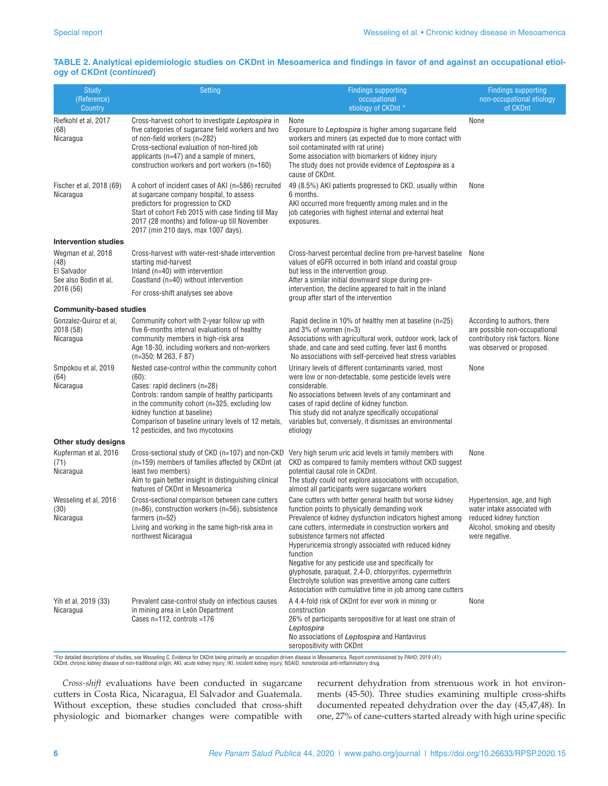#### **TABLE 2. Analytical epidemiologic studies on CKDnt in Mesoamerica and findings in favor of and against an occupational etiology of CKDnt (***continued***)**

| Study<br>(Reference)<br>Country                                                 | <b>Setting</b>                                                                                                                                                                                                                                                                                                               | <b>Findings supporting</b><br>occupational<br>etiology of CKDnt *                                                                                                                                                                                                                                                                                                                                                                                                                                                                                                                  | <b>Findings supporting</b><br>non-occupational etiology<br>of CKDnt                                                                      |
|---------------------------------------------------------------------------------|------------------------------------------------------------------------------------------------------------------------------------------------------------------------------------------------------------------------------------------------------------------------------------------------------------------------------|------------------------------------------------------------------------------------------------------------------------------------------------------------------------------------------------------------------------------------------------------------------------------------------------------------------------------------------------------------------------------------------------------------------------------------------------------------------------------------------------------------------------------------------------------------------------------------|------------------------------------------------------------------------------------------------------------------------------------------|
| Riefkohl et al, 2017<br>(68)<br>Nicaragua                                       | Cross-harvest cohort to investigate Leptospira in<br>five categories of sugarcane field workers and two<br>of non-field workers (n=282)<br>Cross-sectional evaluation of non-hired job<br>applicants ( $n=47$ ) and a sample of miners,<br>construction workers and port workers (n=160)                                     | None<br>Exposure to Leptospira is higher among sugarcane field<br>workers and miners (as expected due to more contact with<br>soil contaminated with rat urine)<br>Some association with biomarkers of kidney injury<br>The study does not provide evidence of Leptospira as a<br>cause of CKDnt.                                                                                                                                                                                                                                                                                  | None                                                                                                                                     |
| Fischer et al, 2018 (69)<br>Nicaragua                                           | A cohort of incident cases of AKI (n=586) recruited<br>at sugarcane company hospital, to assess<br>predictors for progression to CKD<br>Start of cohort Feb 2015 with case finding till May<br>2017 (28 months) and follow-up till November<br>2017 (min 210 days, max 1007 days).                                           | 49 (8.5%) AKI patients progressed to CKD, usually within<br>6 months.<br>AKI occurred more frequently among males and in the<br>job categories with highest internal and external heat<br>exposures.                                                                                                                                                                                                                                                                                                                                                                               | None                                                                                                                                     |
| <b>Intervention studies</b>                                                     |                                                                                                                                                                                                                                                                                                                              |                                                                                                                                                                                                                                                                                                                                                                                                                                                                                                                                                                                    |                                                                                                                                          |
| Wegman et al, 2018<br>(48)<br>El Salvador<br>See also Bodin et al,<br>2016 (56) | Cross-harvest with water-rest-shade intervention<br>starting mid-harvest<br>Inland (n=40) with intervention<br>Coastland (n=40) without intervention<br>For cross-shift analyses see above                                                                                                                                   | Cross-harvest percentual decline from pre-harvest baseline<br>values of eGFR occurred in both inland and coastal group<br>but less in the intervention group.<br>After a similar initial downward slope during pre-<br>intervention, the decline appeared to halt in the inland                                                                                                                                                                                                                                                                                                    | None                                                                                                                                     |
| <b>Community-based studies</b>                                                  |                                                                                                                                                                                                                                                                                                                              | group after start of the intervention                                                                                                                                                                                                                                                                                                                                                                                                                                                                                                                                              |                                                                                                                                          |
| Gonzalez-Quiroz et al,<br>2018 (58)<br>Nicaragua                                | Community cohort with 2-year follow up with<br>five 6-months interval evaluations of healthy<br>community members in high-risk area<br>Age 18-30, including workers and non-workers<br>$(n=350; M 263, F 87)$                                                                                                                | Rapid decline in 10% of healthy men at baseline (n=25)<br>and $3\%$ of women (n=3)<br>Associations with agricultural work, outdoor work, lack of<br>shade, and cane and seed cutting, fever last 6 months<br>No associations with self-perceived heat stress variables                                                                                                                                                                                                                                                                                                             | According to authors, there<br>are possible non-occupational<br>contributory risk factors. None<br>was observed or proposed.             |
| Smpokou et al, 2019<br>(64)<br>Nicaragua                                        | Nested case-control within the community cohort<br>$(60)$ :<br>Cases: rapid decliners (n=28)<br>Controls: random sample of healthy participants<br>in the community cohort (n=325, excluding low<br>kidney function at baseline)<br>Comparison of baseline urinary levels of 12 metals,<br>12 pesticides, and two mycotoxins | Urinary levels of different contaminants varied, most<br>were low or non-detectable, some pesticide levels were<br>considerable.<br>No associations between levels of any contaminant and<br>cases of rapid decline of kidney function.<br>This study did not analyze specifically occupational<br>variables but, conversely, it dismisses an environmental<br>etiology                                                                                                                                                                                                            | None                                                                                                                                     |
| Other study designs                                                             |                                                                                                                                                                                                                                                                                                                              |                                                                                                                                                                                                                                                                                                                                                                                                                                                                                                                                                                                    |                                                                                                                                          |
| Kupferman et al, 2016<br>(71)<br>Nicaragua                                      | Cross-sectional study of CKD (n=107) and non-CKD<br>(n=159) members of families affected by CKDnt (at<br>least two members)<br>Aim to gain better insight in distinguishing clinical<br>features of CKDnt in Mesoamerica                                                                                                     | Very high serum uric acid levels in family members with<br>CKD as compared to family members without CKD suggest<br>potential causal role in CKDnt.<br>The study could not explore associations with occupation,<br>almost all participants were sugarcane workers                                                                                                                                                                                                                                                                                                                 | None                                                                                                                                     |
| Wesseling et al, 2016<br>(30)<br>Nicaragua                                      | Cross-sectional comparison between cane cutters<br>$(n=86)$ , construction workers $(n=56)$ , subsistence<br>farmers $(n=52)$<br>Living and working in the same high-risk area in<br>northwest Nicaragua                                                                                                                     | Cane cutters with better general health but worse kidney<br>function points to physically demanding work<br>Prevalence of kidney dysfunction indicators highest among<br>cane cutters, intermediate in construction workers and<br>subsistence farmers not affected<br>Hyperuricemia strongly associated with reduced kidney<br>function<br>Negative for any pesticide use and specifically for<br>glyphosate, paraguat, 2,4-D, chlorpyrifos, cypermethrin<br>Electrolyte solution was preventive among cane cutters<br>Association with cumulative time in job among cane cutters | Hypertension, age, and high<br>water intake associated with<br>reduced kidney function<br>Alcohol, smoking and obesity<br>were negative. |
| Yih et al, 2019 (33)<br>Nicaragua                                               | Prevalent case-control study on infectious causes<br>in mining area in León Department<br>Cases n=112, controls =176<br>*For detailed descriptions of studies, see Wesseling C. Evidence for CKDnt being primarily an occupation driven disease in Mesoamerica. Report commissioned by PAHO; 2019 (41).                      | A 4.4-fold risk of CKDnt for ever work in mining or<br>construction<br>26% of participants seropositive for at least one strain of<br>Leptospira<br>No associations of Leptospira and Hantavirus<br>seropositivity with CKDnt                                                                                                                                                                                                                                                                                                                                                      | None                                                                                                                                     |

\*For detailed descriptions of studies, see Wesseling C. Evidence for CKDnt being primarily an occupation driven disease in Mesoamerica. Report commissioned by PAHO; 2019 (41).<br>CKDnt, chronic kidney disease of non-tradition

*Cross-shift* evaluations have been conducted in sugarcane cutters in Costa Rica, Nicaragua, El Salvador and Guatemala. Without exception, these studies concluded that cross-shift physiologic and biomarker changes were compatible with recurrent dehydration from strenuous work in hot environments (45-50). Three studies examining multiple cross-shifts documented repeated dehydration over the day (45,47,48). In one, 27% of cane-cutters started already with high urine specific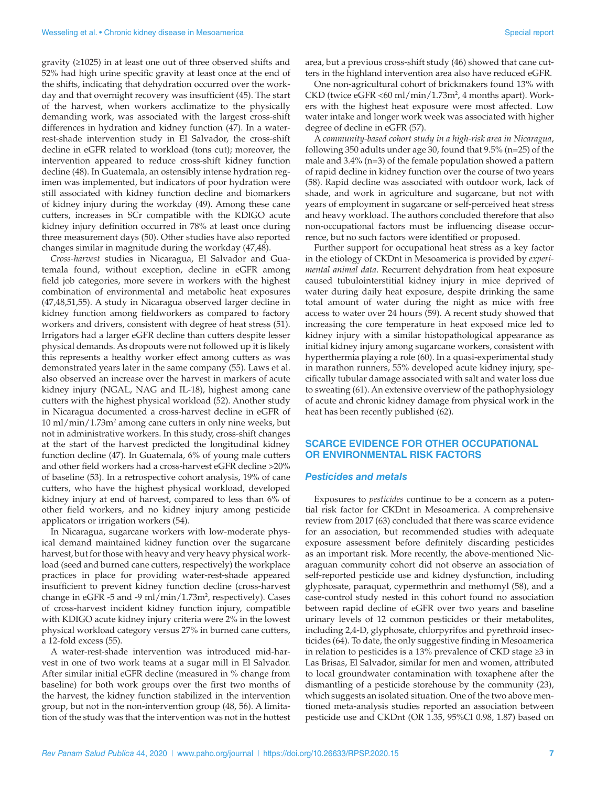gravity (≥1025) in at least one out of three observed shifts and 52% had high urine specific gravity at least once at the end of the shifts, indicating that dehydration occurred over the workday and that overnight recovery was insufficient (45). The start of the harvest, when workers acclimatize to the physically demanding work, was associated with the largest cross-shift differences in hydration and kidney function (47). In a waterrest-shade intervention study in El Salvador, the cross-shift decline in eGFR related to workload (tons cut); moreover, the intervention appeared to reduce cross-shift kidney function decline (48). In Guatemala, an ostensibly intense hydration regimen was implemented, but indicators of poor hydration were still associated with kidney function decline and biomarkers of kidney injury during the workday (49). Among these cane cutters, increases in SCr compatible with the KDIGO acute kidney injury definition occurred in 78% at least once during three measurement days (50). Other studies have also reported changes similar in magnitude during the workday (47,48).

*Cross-harvest* studies in Nicaragua, El Salvador and Guatemala found, without exception, decline in eGFR among field job categories, more severe in workers with the highest combination of environmental and metabolic heat exposures (47,48,51,55). A study in Nicaragua observed larger decline in kidney function among fieldworkers as compared to factory workers and drivers, consistent with degree of heat stress (51). Irrigators had a larger eGFR decline than cutters despite lesser physical demands. As dropouts were not followed up it is likely this represents a healthy worker effect among cutters as was demonstrated years later in the same company (55). Laws et al. also observed an increase over the harvest in markers of acute kidney injury (NGAL, NAG and IL-18), highest among cane cutters with the highest physical workload (52). Another study in Nicaragua documented a cross-harvest decline in eGFR of 10 ml/min/1.73m2 among cane cutters in only nine weeks, but not in administrative workers. In this study, cross-shift changes at the start of the harvest predicted the longitudinal kidney function decline (47). In Guatemala, 6% of young male cutters and other field workers had a cross-harvest eGFR decline >20% of baseline (53). In a retrospective cohort analysis, 19% of cane cutters, who have the highest physical workload, developed kidney injury at end of harvest, compared to less than 6% of other field workers, and no kidney injury among pesticide applicators or irrigation workers (54).

In Nicaragua, sugarcane workers with low-moderate physical demand maintained kidney function over the sugarcane harvest, but for those with heavy and very heavy physical workload (seed and burned cane cutters, respectively) the workplace practices in place for providing water-rest-shade appeared insufficient to prevent kidney function decline (cross-harvest change in eGFR  $-5$  and  $-9$  ml/min/1.73m<sup>2</sup>, respectively). Cases of cross-harvest incident kidney function injury, compatible with KDIGO acute kidney injury criteria were 2% in the lowest physical workload category versus 27% in burned cane cutters, a 12-fold excess (55).

A water-rest-shade intervention was introduced mid-harvest in one of two work teams at a sugar mill in El Salvador. After similar initial eGFR decline (measured in % change from baseline) for both work groups over the first two months of the harvest, the kidney function stabilized in the intervention group, but not in the non-intervention group (48, 56). A limitation of the study was that the intervention was not in the hottest area, but a previous cross-shift study (46) showed that cane cutters in the highland intervention area also have reduced eGFR.

One non-agricultural cohort of brickmakers found 13% with CKD (twice eGFR <60 ml/min/1.73m<sup>2</sup>, 4 months apart). Workers with the highest heat exposure were most affected. Low water intake and longer work week was associated with higher degree of decline in eGFR (57).

A *community-based cohort study in a high-risk area in Nicaragua*, following 350 adults under age 30, found that 9.5% (n=25) of the male and 3.4% (n=3) of the female population showed a pattern of rapid decline in kidney function over the course of two years (58). Rapid decline was associated with outdoor work, lack of shade, and work in agriculture and sugarcane, but not with years of employment in sugarcane or self-perceived heat stress and heavy workload. The authors concluded therefore that also non-occupational factors must be influencing disease occurrence, but no such factors were identified or proposed.

Further support for occupational heat stress as a key factor in the etiology of CKDnt in Mesoamerica is provided by *experimental animal data*. Recurrent dehydration from heat exposure caused tubulointerstitial kidney injury in mice deprived of water during daily heat exposure, despite drinking the same total amount of water during the night as mice with free access to water over 24 hours (59). A recent study showed that increasing the core temperature in heat exposed mice led to kidney injury with a similar histopathological appearance as initial kidney injury among sugarcane workers, consistent with hyperthermia playing a role (60). In a quasi-experimental study in marathon runners, 55% developed acute kidney injury, specifically tubular damage associated with salt and water loss due to sweating (61). An extensive overview of the pathophysiology of acute and chronic kidney damage from physical work in the heat has been recently published (62).

### **SCARCE EVIDENCE FOR OTHER OCCUPATIONAL OR ENVIRONMENTAL RISK FACTORS**

#### *Pesticides and metals*

Exposures to *pesticides* continue to be a concern as a potential risk factor for CKDnt in Mesoamerica. A comprehensive review from 2017 (63) concluded that there was scarce evidence for an association, but recommended studies with adequate exposure assessment before definitely discarding pesticides as an important risk. More recently, the above-mentioned Nicaraguan community cohort did not observe an association of self-reported pesticide use and kidney dysfunction, including glyphosate, paraquat, cypermethrin and methomyl (58), and a case-control study nested in this cohort found no association between rapid decline of eGFR over two years and baseline urinary levels of 12 common pesticides or their metabolites, including 2,4-D, glyphosate, chlorpyrifos and pyrethroid insecticides (64). To date, the only suggestive finding in Mesoamerica in relation to pesticides is a 13% prevalence of CKD stage ≥3 in Las Brisas, El Salvador, similar for men and women, attributed to local groundwater contamination with toxaphene after the dismantling of a pesticide storehouse by the community (23), which suggests an isolated situation. One of the two above mentioned meta-analysis studies reported an association between pesticide use and CKDnt (OR 1.35, 95%CI 0.98, 1.87) based on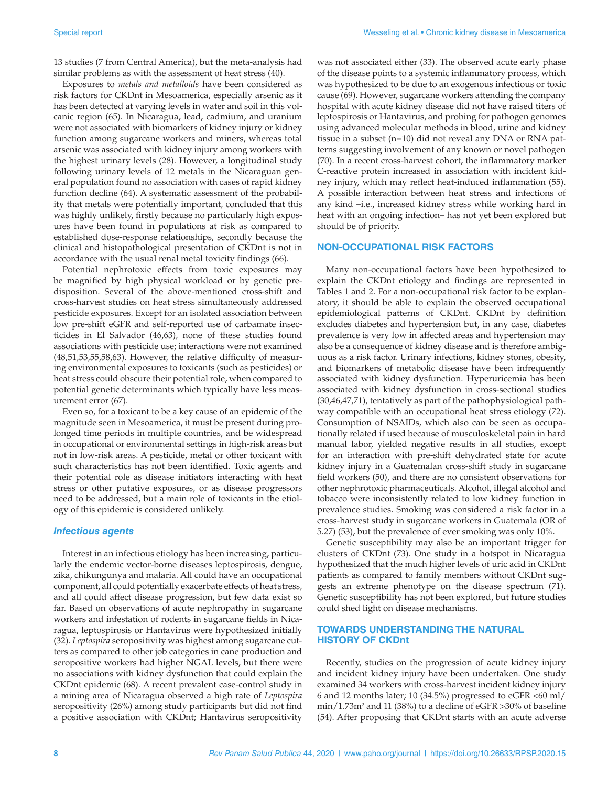13 studies (7 from Central America), but the meta-analysis had similar problems as with the assessment of heat stress (40).

Exposures to *metals and metalloids* have been considered as risk factors for CKDnt in Mesoamerica, especially arsenic as it has been detected at varying levels in water and soil in this volcanic region (65). In Nicaragua, lead, cadmium, and uranium were not associated with biomarkers of kidney injury or kidney function among sugarcane workers and miners, whereas total arsenic was associated with kidney injury among workers with the highest urinary levels (28). However, a longitudinal study following urinary levels of 12 metals in the Nicaraguan general population found no association with cases of rapid kidney function decline (64). A systematic assessment of the probability that metals were potentially important, concluded that this was highly unlikely, firstly because no particularly high exposures have been found in populations at risk as compared to established dose-response relationships, secondly because the clinical and histopathological presentation of CKDnt is not in accordance with the usual renal metal toxicity findings (66).

Potential nephrotoxic effects from toxic exposures may be magnified by high physical workload or by genetic predisposition. Several of the above-mentioned cross-shift and cross-harvest studies on heat stress simultaneously addressed pesticide exposures. Except for an isolated association between low pre-shift eGFR and self-reported use of carbamate insecticides in El Salvador (46,63), none of these studies found associations with pesticide use; interactions were not examined (48,51,53,55,58,63). However, the relative difficulty of measuring environmental exposures to toxicants (such as pesticides) or heat stress could obscure their potential role, when compared to potential genetic determinants which typically have less measurement error (67).

Even so, for a toxicant to be a key cause of an epidemic of the magnitude seen in Mesoamerica, it must be present during prolonged time periods in multiple countries, and be widespread in occupational or environmental settings in high-risk areas but not in low-risk areas. A pesticide, metal or other toxicant with such characteristics has not been identified. Toxic agents and their potential role as disease initiators interacting with heat stress or other putative exposures, or as disease progressors need to be addressed, but a main role of toxicants in the etiology of this epidemic is considered unlikely.

#### *Infectious agents*

Interest in an infectious etiology has been increasing, particularly the endemic vector-borne diseases leptospirosis, dengue, zika, chikungunya and malaria. All could have an occupational component, all could potentially exacerbate effects of heat stress, and all could affect disease progression, but few data exist so far. Based on observations of acute nephropathy in sugarcane workers and infestation of rodents in sugarcane fields in Nicaragua, leptospirosis or Hantavirus were hypothesized initially (32). *Leptospira* seropositivity was highest among sugarcane cutters as compared to other job categories in cane production and seropositive workers had higher NGAL levels, but there were no associations with kidney dysfunction that could explain the CKDnt epidemic (68). A recent prevalent case-control study in a mining area of Nicaragua observed a high rate of *Leptospira* seropositivity (26%) among study participants but did not find a positive association with CKDnt; Hantavirus seropositivity

was not associated either (33). The observed acute early phase of the disease points to a systemic inflammatory process, which was hypothesized to be due to an exogenous infectious or toxic cause (69). However, sugarcane workers attending the company hospital with acute kidney disease did not have raised titers of leptospirosis or Hantavirus, and probing for pathogen genomes using advanced molecular methods in blood, urine and kidney tissue in a subset (n=10) did not reveal any DNA or RNA patterns suggesting involvement of any known or novel pathogen (70). In a recent cross-harvest cohort, the inflammatory marker C-reactive protein increased in association with incident kidney injury, which may reflect heat-induced inflammation (55). A possible interaction between heat stress and infections of any kind –i.e., increased kidney stress while working hard in heat with an ongoing infection– has not yet been explored but should be of priority.

#### **NON-OCCUPATIONAL RISK FACTORS**

Many non-occupational factors have been hypothesized to explain the CKDnt etiology and findings are represented in Tables 1 and 2. For a non-occupational risk factor to be explanatory, it should be able to explain the observed occupational epidemiological patterns of CKDnt. CKDnt by definition excludes diabetes and hypertension but, in any case, diabetes prevalence is very low in affected areas and hypertension may also be a consequence of kidney disease and is therefore ambiguous as a risk factor. Urinary infections, kidney stones, obesity, and biomarkers of metabolic disease have been infrequently associated with kidney dysfunction. Hyperuricemia has been associated with kidney dysfunction in cross-sectional studies (30,46,47,71), tentatively as part of the pathophysiological pathway compatible with an occupational heat stress etiology (72). Consumption of NSAIDs, which also can be seen as occupationally related if used because of musculoskeletal pain in hard manual labor, yielded negative results in all studies, except for an interaction with pre-shift dehydrated state for acute kidney injury in a Guatemalan cross-shift study in sugarcane field workers (50), and there are no consistent observations for other nephrotoxic pharmaceuticals. Alcohol, illegal alcohol and tobacco were inconsistently related to low kidney function in prevalence studies. Smoking was considered a risk factor in a cross-harvest study in sugarcane workers in Guatemala (OR of 5.27) (53), but the prevalence of ever smoking was only 10%.

Genetic susceptibility may also be an important trigger for clusters of CKDnt (73). One study in a hotspot in Nicaragua hypothesized that the much higher levels of uric acid in CKDnt patients as compared to family members without CKDnt suggests an extreme phenotype on the disease spectrum (71). Genetic susceptibility has not been explored, but future studies could shed light on disease mechanisms.

### **TOWARDS UNDERSTANDING THE NATURAL HISTORY OF CKDnt**

Recently, studies on the progression of acute kidney injury and incident kidney injury have been undertaken. One study examined 34 workers with cross-harvest incident kidney injury 6 and 12 months later; 10 (34.5%) progressed to eGFR  $<60$  ml/  $min/1.73m^2$  and 11 (38%) to a decline of eGFR >30% of baseline (54). After proposing that CKDnt starts with an acute adverse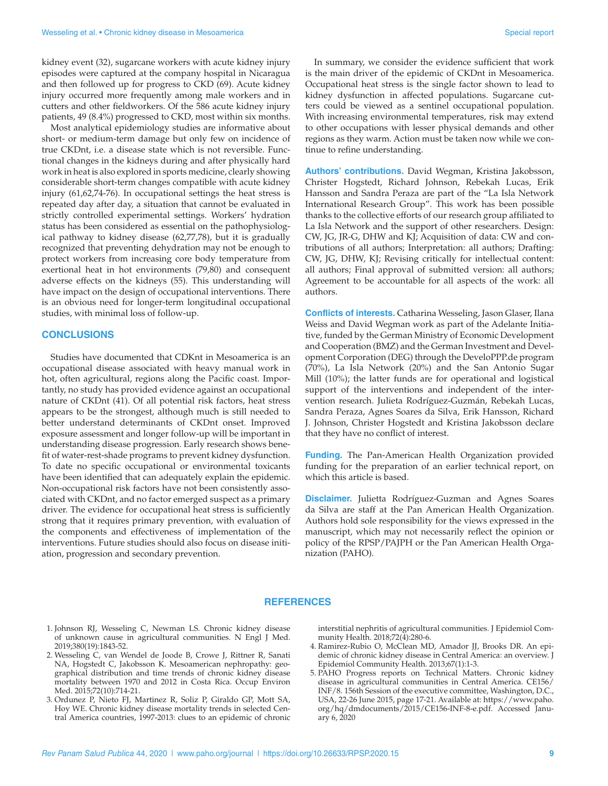kidney event (32), sugarcane workers with acute kidney injury episodes were captured at the company hospital in Nicaragua and then followed up for progress to CKD (69). Acute kidney injury occurred more frequently among male workers and in cutters and other fieldworkers. Of the 586 acute kidney injury patients, 49 (8.4%) progressed to CKD, most within six months.

Most analytical epidemiology studies are informative about short- or medium-term damage but only few on incidence of true CKDnt, i.e. a disease state which is not reversible. Functional changes in the kidneys during and after physically hard work in heat is also explored in sports medicine, clearly showing considerable short-term changes compatible with acute kidney injury (61,62,74-76). In occupational settings the heat stress is repeated day after day, a situation that cannot be evaluated in strictly controlled experimental settings. Workers' hydration status has been considered as essential on the pathophysiological pathway to kidney disease (62,77,78), but it is gradually recognized that preventing dehydration may not be enough to protect workers from increasing core body temperature from exertional heat in hot environments (79,80) and consequent adverse effects on the kidneys (55). This understanding will have impact on the design of occupational interventions. There is an obvious need for longer-term longitudinal occupational studies, with minimal loss of follow-up.

#### **CONCLUSIONS**

Studies have documented that CDKnt in Mesoamerica is an occupational disease associated with heavy manual work in hot, often agricultural, regions along the Pacific coast. Importantly, no study has provided evidence against an occupational nature of CKDnt (41). Of all potential risk factors, heat stress appears to be the strongest, although much is still needed to better understand determinants of CKDnt onset. Improved exposure assessment and longer follow-up will be important in understanding disease progression. Early research shows benefit of water-rest-shade programs to prevent kidney dysfunction. To date no specific occupational or environmental toxicants have been identified that can adequately explain the epidemic. Non-occupational risk factors have not been consistently associated with CKDnt, and no factor emerged suspect as a primary driver. The evidence for occupational heat stress is sufficiently strong that it requires primary prevention, with evaluation of the components and effectiveness of implementation of the interventions. Future studies should also focus on disease initiation, progression and secondary prevention.

In summary, we consider the evidence sufficient that work is the main driver of the epidemic of CKDnt in Mesoamerica. Occupational heat stress is the single factor shown to lead to kidney dysfunction in affected populations. Sugarcane cutters could be viewed as a sentinel occupational population. With increasing environmental temperatures, risk may extend to other occupations with lesser physical demands and other regions as they warm. Action must be taken now while we continue to refine understanding.

**Authors' contributions.** David Wegman, Kristina Jakobsson, Christer Hogstedt, Richard Johnson, Rebekah Lucas, Erik Hansson and Sandra Peraza are part of the "La Isla Network International Research Group". This work has been possible thanks to the collective efforts of our research group affiliated to La Isla Network and the support of other researchers. Design: CW, JG, JR-G, DHW and KJ; Acquisition of data: CW and contributions of all authors; Interpretation: all authors; Drafting: CW, JG, DHW, KJ; Revising critically for intellectual content: all authors; Final approval of submitted version: all authors; Agreement to be accountable for all aspects of the work: all authors.

**Conflicts of interests.** Catharina Wesseling, Jason Glaser, Ilana Weiss and David Wegman work as part of the Adelante Initiative, funded by the German Ministry of Economic Development and Cooperation (BMZ) and the German Investment and Development Corporation (DEG) through the DeveloPPP.de program (70%), La Isla Network (20%) and the San Antonio Sugar Mill (10%); the latter funds are for operational and logistical support of the interventions and independent of the intervention research. Julieta Rodríguez-Guzmán, Rebekah Lucas, Sandra Peraza, Agnes Soares da Silva, Erik Hansson, Richard J. Johnson, Christer Hogstedt and Kristina Jakobsson declare that they have no conflict of interest.

**Funding.** The Pan-American Health Organization provided funding for the preparation of an earlier technical report, on which this article is based.

**Disclaimer.** Julietta Rodríguez-Guzman and Agnes Soares da Silva are staff at the Pan American Health Organization. Authors hold sole responsibility for the views expressed in the manuscript, which may not necessarily reflect the opinion or policy of the RPSP/PAJPH or the Pan American Health Organization (PAHO).

#### **REFERENCES**

- 1. Johnson RJ, Wesseling C, Newman LS. Chronic kidney disease of unknown cause in agricultural communities. N Engl J Med. 2019;380(19):1843-52.
- 2. Wesseling C, van Wendel de Joode B, Crowe J, Rittner R, Sanati NA, Hogstedt C, Jakobsson K. Mesoamerican nephropathy: geographical distribution and time trends of chronic kidney disease mortality between 1970 and 2012 in Costa Rica. Occup Environ Med. 2015;72(10):714-21.
- 3. Ordunez P, Nieto FJ, Martinez R, Soliz P, Giraldo GP, Mott SA, Hoy WE. Chronic kidney disease mortality trends in selected Central America countries, 1997-2013: clues to an epidemic of chronic

interstitial nephritis of agricultural communities. J Epidemiol Community Health. 2018;72(4):280-6.

- 4. Ramirez-Rubio O, McClean MD, Amador JJ, Brooks DR. An epidemic of chronic kidney disease in Central America: an overview. J Epidemiol Community Health. 2013;67(1):1-3.
- 5. PAHO Progress reports on Technical Matters. Chronic kidney disease in agricultural communities in Central America. CE156/ INF/8. 156th Session of the executive committee, Washington, D.C., USA, 22-26 June 2015, page 17-21. Available at: [https://www.paho.](https://www.paho.org/hq/dmdocuments/2015/CE156-INF-8-e.pdf) [org/hq/dmdocuments/2015/CE156-INF-8-e.pdf.](https://www.paho.org/hq/dmdocuments/2015/CE156-INF-8-e.pdf) Accessed January 6, 2020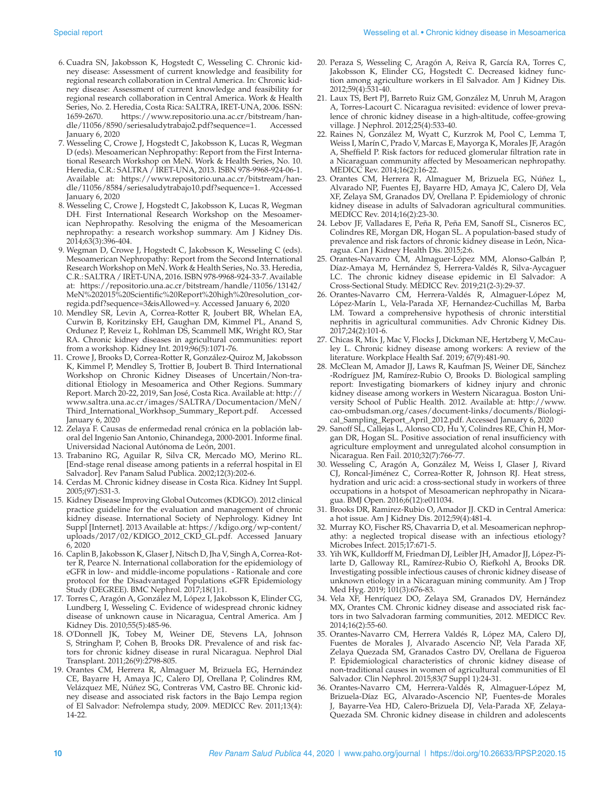- 6. Cuadra SN, Jakobsson K, Hogstedt C, Wesseling C. Chronic kidney disease: Assessment of current knowledge and feasibility for regional research collaboration in Central America. In: Chronic kidney disease: Assessment of current knowledge and feasibility for regional research collaboration in Central America. Work & Health Series, No. 2. Heredia, Costa Rica: SALTRA, IRET-UNA, 2006. ISSN: 1659-2670. [https://www.repositorio.una.ac.cr/bitstream/han](https://www.repositorio.una.ac.cr/bitstream/handle/11056/8590/seriesaludytrabajo2.pdf?sequence=1)[dle/11056/8590/seriesaludytrabajo2.pdf?sequence=1](https://www.repositorio.una.ac.cr/bitstream/handle/11056/8590/seriesaludytrabajo2.pdf?sequence=1). Accessed January 6, 2020
- 7. Wesseling C, Crowe J, Hogstedt C, Jakobsson K, Lucas R, Wegman D (eds). Mesoamerican Nephropathy: Report from the First International Research Workshop on MeN. Work & Health Series, No. 10. Heredia, C.R.: SALTRA / IRET-UNA, 2013. ISBN 978-9968-924-06-1. Available at: [https://www.repositorio.una.ac.cr/bitstream/han](https://www.repositorio.una.ac.cr/bitstream/handle/11056/8584/seriesaludytrabajo10.pdf?sequence=1)[dle/11056/8584/seriesaludytrabajo10.pdf?sequence=1](https://www.repositorio.una.ac.cr/bitstream/handle/11056/8584/seriesaludytrabajo10.pdf?sequence=1). Accessed January 6, 2020
- 8. Wesseling C, Crowe J, Hogstedt C, Jakobsson K, Lucas R, Wegman DH. First International Research Workshop on the Mesoamerican Nephropathy. Resolving the enigma of the Mesoamerican nephropathy: a research workshop summary. Am J Kidney Dis. 2014;63(3):396-404.
- 9. Wegman D, Crowe J, Hogstedt C, Jakobsson K, Wesseling C (eds). Mesoamerican Nephropathy: Report from the Second International Research Workshop on MeN. Work & Health Series, No. 33. Heredia, C.R.: SALTRA / IRET-UNA, 2016. ISBN 978-9968-924-33-7. Available at: [https://repositorio.una.ac.cr/bitstream/handle/11056/13142/](https://repositorio.una.ac.cr/bitstream/handle/11056/13142/MeN%202015%20Scientific%20Report%20high%20resolution_corregida.pdf?sequence=3&isAllowed=y) [MeN%202015%20Scientific%20Report%20high%20resolution\\_cor](https://repositorio.una.ac.cr/bitstream/handle/11056/13142/MeN%202015%20Scientific%20Report%20high%20resolution_corregida.pdf?sequence=3&isAllowed=y)[regida.pdf?sequence=3&isAllowed=y.](https://repositorio.una.ac.cr/bitstream/handle/11056/13142/MeN%202015%20Scientific%20Report%20high%20resolution_corregida.pdf?sequence=3&isAllowed=y) Accessed January 6, 2020
- 10. Mendley SR, Levin A, Correa-Rotter R, Joubert BR, Whelan EA, Curwin B, Koritzinsky EH, Gaughan DM, Kimmel PL, Anand S, Ordunez P, Reveiz L, Rohlman DS, Scammell MK, Wright RO, Star RA. Chronic kidney diseases in agricultural communities: report from a workshop. Kidney Int. 2019;96(5):1071-76.
- 11. Crowe J, Brooks D, Correa-Rotter R, González-Quiroz M, Jakobsson K, Kimmel P, Mendley S, Trottier B, Joubert B. Third International Workshop on Chronic Kidney Diseases of Uncertain/Non-traditional Etiology in Mesoamerica and Other Regions. Summary Report. March 20-22, 2019, San José, Costa Rica. Available at: [http://](http://www.saltra.una.ac.cr/images/SALTRA/Documentacion/MeN/Third_International_Workhsop_Summary_Report.pdf) [www.saltra.una.ac.cr/images/SALTRA/Documentacion/MeN/](http://www.saltra.una.ac.cr/images/SALTRA/Documentacion/MeN/Third_International_Workhsop_Summary_Report.pdf) [Third\\_International\\_Workhsop\\_Summary\\_Report.pdf](http://www.saltra.una.ac.cr/images/SALTRA/Documentacion/MeN/Third_International_Workhsop_Summary_Report.pdf). Accessed January 6, 2020
- 12. Zelaya F. Causas de enfermedad renal crónica en la población laboral del Ingenio San Antonio, Chinandega, 2000-2001. Informe final. Universidad Nacional Autónoma de León, 2001.
- 13. Trabanino RG, Aguilar R, Silva CR, Mercado MO, Merino RL. [End-stage renal disease among patients in a referral hospital in El Salvador]. Rev Panam Salud Publica. 2002;12(3):202-6.
- 14. Cerdas M. Chronic kidney disease in Costa Rica. Kidney Int Suppl. 2005;(97):S31-3.
- 15. Kidney Disease Improving Global Outcomes (KDIGO). 2012 clinical practice guideline for the evaluation and management of chronic kidney disease. International Society of Nephrology. Kidney Int Suppl [Internet]. 2013 Available at: [https://kdigo.org/wp-content/](https://kdigo.org/wp-content/uploads/2017/02/KDIGO_2012_CKD_GL.pdf) [uploads/2017/02/KDIGO\\_2012\\_CKD\\_GL.pdf](https://kdigo.org/wp-content/uploads/2017/02/KDIGO_2012_CKD_GL.pdf). Accessed January 6, 2020
- 16. Caplin B, Jakobsson K, Glaser J, Nitsch D, Jha V, Singh A, Correa-Rotter R, Pearce N. International collaboration for the epidemiology of eGFR in low- and middle-income populations - Rationale and core protocol for the Disadvantaged Populations eGFR Epidemiology Study (DEGREE). BMC Nephrol. 2017;18(1):1.
- 17. Torres C, Aragón A, González M, López I, Jakobsson K, Elinder CG, Lundberg I, Wesseling C. Evidence of widespread chronic kidney disease of unknown cause in Nicaragua, Central America. Am J Kidney Dis. 2010;55(5):485-96.
- 18. O'Donnell JK, Tobey M, Weiner DE, Stevens LA, Johnson S, Stringham P, Cohen B, Brooks DR. Prevalence of and risk factors for chronic kidney disease in rural Nicaragua. Nephrol Dial Transplant. 2011;26(9):2798-805.
- 19. Orantes CM, Herrera R, Almaguer M, Brizuela EG, Hernández CE, Bayarre H, Amaya JC, Calero DJ, Orellana P, Colindres RM, Velázquez ME, Núñez SG, Contreras VM, Castro BE. Chronic kidney disease and associated risk factors in the Bajo Lempa region of El Salvador: Nefrolempa study, 2009. MEDICC Rev. 2011;13(4): 14-22.
- 20. Peraza S, Wesseling C, Aragón A, Reiva R, García RA, Torres C, Jakobsson K, Elinder CG, Hogstedt C. Decreased kidney function among agriculture workers in El Salvador. Am J Kidney Dis. 2012;59(4):531-40.
- 21. Laux TS, Bert PJ, Barreto Ruiz GM, González M, Unruh M, Aragon A, Torres-Lacourt C. Nicaragua revisited: evidence of lower prevalence of chronic kidney disease in a high-altitude, coffee-growing village. J Nephrol. 2012;25(4):533-40.
- 22. Raines N, González M, Wyatt C, Kurzrok M, Pool C, Lemma T, Weiss I, Marín C, Prado V, Marcas E, Mayorga K, Morales JF, Aragón A, Sheffield P. Risk factors for reduced glomerular filtration rate in a Nicaraguan community affected by Mesoamerican nephropathy. MEDICC Rev. 2014;16(2):16-22.
- 23. Orantes CM, Herrera R, Almaguer M, Brizuela EG, Núñez L, Alvarado NP, Fuentes EJ, Bayarre HD, Amaya JC, Calero DJ, Vela XF, Zelaya SM, Granados DV, Orellana P. Epidemiology of chronic kidney disease in adults of Salvadoran agricultural communities. MEDICC Rev. 2014;16(2):23-30.
- 24. Lebov JF, Valladares E, Peña R, Peña EM, Sanoff SL, Cisneros EC, Colindres RE, Morgan DR, Hogan SL. A population-based study of prevalence and risk factors of chronic kidney disease in León, Nicaragua. Can J Kidney Health Dis. 2015;2:6.
- 25. Orantes-Navarro CM, Almaguer-López MM, Alonso-Galbán P, Díaz-Amaya M, Hernández S, Herrera-Valdés R, Silva-Aycaguer LC. The chronic kidney disease epidemic in El Salvador: A Cross-Sectional Study. MEDICC Rev. 2019;21(2-3):29-37.
- 26. Orantes-Navarro CM, Herrera-Valdés R, Almaguer-López M, López-Marín L, Vela-Parada XF, Hernandez-Cuchillas M, Barba LM. Toward a comprehensive hypothesis of chronic interstitial nephritis in agricultural communities. Adv Chronic Kidney Dis. 2017;24(2):101-6.
- 27. Chicas R, Mix J, Mac V, Flocks J, Dickman NE, Hertzberg V, McCauley L. Chronic kidney disease among workers: A review of the literature. Workplace Health Saf. 2019; 67(9):481-90.
- 28. McClean M, Amador JJ, Laws R, Kaufman JS, Weiner DE, Sánchez -Rodríguez JM, Ramírez-Rubio O, Brooks D. Biological sampling report: Investigating biomarkers of kidney injury and chronic kidney disease among workers in Western Nicaragua. Boston University School of Public Health. 2012. Available at: [http://www.](http://www.cao-ombudsman.org/cases/document-links/documents/Biological_Sampling_Report_April_2012.pdf) [cao-ombudsman.org/cases/document-links/documents/Biologi](http://www.cao-ombudsman.org/cases/document-links/documents/Biological_Sampling_Report_April_2012.pdf)[cal\\_Sampling\\_Report\\_April\\_2012.pdf.](http://www.cao-ombudsman.org/cases/document-links/documents/Biological_Sampling_Report_April_2012.pdf) Accessed January 6, 2020
- 29. Sanoff SL, Callejas L, Alonso CD, Hu Y, Colindres RE, Chin H, Morgan DR, Hogan SL. Positive association of renal insufficiency with agriculture employment and unregulated alcohol consumption in Nicaragua. Ren Fail. 2010;32(7):766-77.
- 30. Wesseling C, Aragón A, González M, Weiss I, Glaser J, Rivard CJ, Roncal-Jiménez C, Correa-Rotter R, Johnson RJ. Heat stress, hydration and uric acid: a cross-sectional study in workers of three occupations in a hotspot of Mesoamerican nephropathy in Nicaragua. BMJ Open. 2016;6(12):e011034.
- 31. Brooks DR, Ramirez-Rubio O, Amador JJ. CKD in Central America: a hot issue. Am J Kidney Dis. 2012;59(4):481-4.
- 32. Murray KO, Fischer RS, Chavarria D, et al. Mesoamerican nephropathy: a neglected tropical disease with an infectious etiology? Microbes Infect. 2015;17:671-5.
- 33. Yih WK, Kulldorff M, Friedman DJ, Leibler JH, Amador JJ, López-Pilarte D, Galloway RL, Ramírez-Rubio O, Riefkohl A, Brooks DR. Investigating possible infectious causes of chronic kidney disease of unknown etiology in a Nicaraguan mining community. Am J Trop Med Hyg. 2019; 101(3):676-83.
- 34. Vela XF, Henríquez DO, Zelaya SM, Granados DV, Hernández MX, Orantes CM. Chronic kidney disease and associated risk factors in two Salvadoran farming communities, 2012. MEDICC Rev. 2014;16(2):55-60.
- 35. Orantes-Navarro CM, Herrera Valdés R, López MA, Calero DJ, Fuentes de Morales J, Alvarado Ascencio NP, Vela Parada XF, Zelaya Quezada SM, Granados Castro DV, Orellana de Figueroa P. Epidemiological characteristics of chronic kidney disease of non-traditional causes in women of agricultural communities of El Salvador. Clin Nephrol. 2015;83(7 Suppl 1):24-31.
- 36. Orantes-Navarro CM, Herrera-Valdés R, Almaguer-López M, Brizuela-Díaz EG, Alvarado-Ascencio NP, Fuentes-de Morales J, Bayarre-Vea HD, Calero-Brizuela DJ, Vela-Parada XF, Zelaya-Quezada SM. Chronic kidney disease in children and adolescents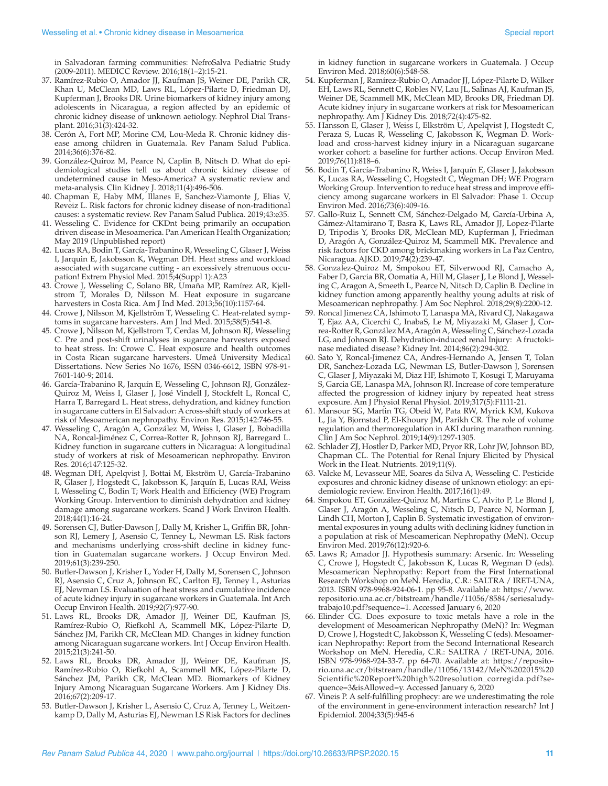- 37. Ramírez-Rubio O, Amador JJ, Kaufman JS, Weiner DE, Parikh CR, Khan U, McClean MD, Laws RL, López-Pilarte D, Friedman DJ, Kupferman J, Brooks DR. Urine biomarkers of kidney injury among adolescents in Nicaragua, a region affected by an epidemic of chronic kidney disease of unknown aetiology. Nephrol Dial Transplant. 2016;31(3):424-32.
- 38. Cerón A, Fort MP, Morine CM, Lou-Meda R. Chronic kidney disease among children in Guatemala. Rev Panam Salud Publica. 2014;36(6):376-82.
- 39. González-Quiroz M, Pearce N, Caplin B, Nitsch D. What do epidemiological studies tell us about chronic kidney disease of undetermined cause in Meso-America? A systematic review and meta-analysis. Clin Kidney J. 2018;11(4):496-506.
- 40. Chapman E, Haby MM, Illanes E, Sanchez-Viamonte J, Elias V, Reveiz L. Risk factors for chronic kidney disease of non-traditional causes: a systematic review. Rev Panam Salud Publica. 2019;43:e35.
- 41. Wesseling C. Evidence for CKDnt being primarily an occupation driven disease in Mesoamerica. Pan American Health Organization; May 2019 (Unpublished report)
- 42. Lucas RA, Bodin T, García-Trabanino R, Wesseling C, Glaser J, Weiss I, Jarquin E, Jakobsson K, Wegman DH. Heat stress and workload associated with sugarcane cutting - an excessively strenuous occupation! Extrem Physiol Med. 2015;4(Suppl 1):A23
- 43. Crowe J, Wesseling C, Solano BR, Umaña MP, Ramírez AR, Kjellstrom T, Morales D, Nilsson M. Heat exposure in sugarcane harvesters in Costa Rica. Am J Ind Med. 2013;56(10):1157-64.
- 44. Crowe J, Nilsson M, Kjellström T, Wesseling C. Heat-related symptoms in sugarcane harvesters. Am J Ind Med. 2015;58(5):541-8.
- 45. Crowe J, Nilsson M, Kjellstrom T, Cerdas M, Johnson RJ, Wesseling C. Pre and post-shift urinalyses in sugarcane harvesters exposed to heat stress. In: Crowe C. Heat exposure and health outcomes in Costa Rican sugarcane harvesters. Umeå University Medical Dissertations. New Series No 1676, ISSN 0346-6612, ISBN 978-91- 7601-140-9; 2014.
- 46. García-Trabanino R, Jarquín E, Wesseling C, Johnson RJ, González-Quiroz M, Weiss I, Glaser J, José Vindell J, Stockfelt L, Roncal C, Harra T, Barregard L. Heat stress, dehydration, and kidney function in sugarcane cutters in El Salvador: A cross-shift study of workers at risk of Mesoamerican nephropathy. Environ Res. 2015;142:746-55.
- 47. Wesseling C, Aragón A, González M, Weiss I, Glaser J, Bobadilla NA, Roncal-Jiménez C, Correa-Rotter R, Johnson RJ, Barregard L. Kidney function in sugarcane cutters in Nicaragua: A longitudinal study of workers at risk of Mesoamerican nephropathy. Environ Res. 2016;147:125-32.
- 48. Wegman DH, Apelqvist J, Bottai M, Ekström U, García-Trabanino R, Glaser J, Hogstedt C, Jakobsson K, Jarquín E, Lucas RAI, Weiss I, Wesseling C, Bodin T; Work Health and Efficiency (WE) Program Working Group. Intervention to diminish dehydration and kidney damage among sugarcane workers. Scand J Work Environ Health. 2018;44(1):16-24.
- 49. Sorensen CJ, Butler-Dawson J, Dally M, Krisher L, Griffin BR, Johnson RJ, Lemery J, Asensio C, Tenney L, Newman LS. Risk factors and mechanisms underlying cross-shift decline in kidney function in Guatemalan sugarcane workers. J Occup Environ Med. 2019;61(3):239-250.
- 50. Butler-Dawson J, Krisher L, Yoder H, Dally M, Sorensen C, Johnson RJ, Asensio C, Cruz A, Johnson EC, Carlton EJ, Tenney L, Asturias EJ, Newman LS. Evaluation of heat stress and cumulative incidence of acute kidney injury in sugarcane workers in Guatemala. Int Arch Occup Environ Health. 2019;92(7):977-90.
- 51. Laws RL, Brooks DR, Amador JJ, Weiner DE, Kaufman JS, Ramírez-Rubio O, Riefkohl A, Scammell MK, López-Pilarte D, Sánchez JM, Parikh CR, McClean MD. Changes in kidney function among Nicaraguan sugarcane workers. Int J Occup Environ Health. 2015;21(3):241-50.
- 52. Laws RL, Brooks DR, Amador JJ, Weiner DE, Kaufman JS, Ramírez-Rubio O, Riefkohl A, Scammell MK, López-Pilarte D, Sánchez JM, Parikh CR, McClean MD. Biomarkers of Kidney Injury Among Nicaraguan Sugarcane Workers. Am J Kidney Dis. 2016;67(2):209-17.
- 53. Butler-Dawson J, Krisher L, Asensio C, Cruz A, Tenney L, Weitzenkamp D, Dally M, Asturias EJ, Newman LS Risk Factors for declines

in kidney function in sugarcane workers in Guatemala. J Occup Environ Med. 2018;60(6):548-58.

- 54. Kupferman J, Ramírez-Rubio O, Amador JJ, López-Pilarte D, Wilker EH, Laws RL, Sennett C, Robles NV, Lau JL, Salinas AJ, Kaufman JS, Weiner DE, Scammell MK, McClean MD, Brooks DR, Friedman DJ. Acute kidney injury in sugarcane workers at risk for Mesoamerican nephropathy. Am J Kidney Dis. 2018;72(4):475-82.
- 55. Hansson E, Glaser J, Weiss I, Elkström U, Apelqvist J, Hogstedt C, Peraza S, Lucas R, Wesseling C, Jakobsson K, Wegman D. Workload and cross-harvest kidney injury in a Nicaraguan sugarcane worker cohort: a baseline for further actions. Occup Environ Med. 2019;76(11):818–6.
- 56. Bodin T, García-Trabanino R, Weiss I, Jarquín E, Glaser J, Jakobsson K, Lucas RA, Wesseling C, Hogstedt C, Wegman DH; WE Program Working Group. Intervention to reduce heat stress and improve efficiency among sugarcane workers in El Salvador: Phase 1. Occup Environ Med. 2016;73(6):409-16.
- 57. Gallo-Ruiz L, Sennett CM, Sánchez-Delgado M, García-Urbina A, Gámez-Altamirano T, Basra K, Laws RL, Amador JJ, Lopez-Pilarte D, Tripodis Y, Brooks DR, McClean MD, Kupferman J, Friedman D, Aragón A, González-Quiroz M, Scammell MK. Prevalence and risk factors for CKD among brickmaking workers in La Paz Centro, Nicaragua. AJKD. 2019;74(2):239-47.
- 58. Gonzalez-Quiroz M, Smpokou ET, Silverwood RJ, Camacho A, Faber D, Garcia BR, Oomatia A, Hill M, Glaser J, Le Blond J, Wesseling C, Aragon A, Smeeth L, Pearce N, Nitsch D, Caplin B. Decline in kidney function among apparently healthy young adults at risk of Mesoamerican nephropathy. J Am Soc Nephrol. 2018;29(8):2200-12.
- 59. Roncal Jimenez CA, Ishimoto T, Lanaspa MA, Rivard CJ, Nakagawa T, Ejaz AA, Cicerchi C, InabaS, Le M, Miyazaki M, Glaser J, Correa-Rotter R, González MA, Aragón A, Wesseling C, Sánchez-Lozada LG, and Johnson RJ. Dehydration-induced renal Injury: A fructokinase mediated disease? Kidney Int. 2014;86(2):294-302.
- 60. Sato Y, Roncal-Jimenez CA, Andres-Hernando A, Jensen T, Tolan DR, Sanchez-Lozada LG, Newman LS, Butler-Dawson J, Sorensen C, Glaser J, Miyazaki M, Diaz HF, Ishimoto T, Kosugi T, Maruyama S, Garcia GE, Lanaspa MA, Johnson RJ. Increase of core temperature affected the progression of kidney injury by repeated heat stress exposure. Am J Physiol Renal Physiol. 2019;317(5):F1111-21.
- 61. Mansour SG, Martin TG, Obeid W, Pata RW, Myrick KM, Kukova L, Jia Y, Bjornstad P, El-Khoury JM, Parikh CR. The role of volume regulation and thermoregulation in AKI during marathon running. Clin J Am Soc Nephrol. 2019;14(9):1297-1305.
- 62. Schlader ZJ, Hostler D, Parker MD, Pryor RR, Lohr JW, Johnson BD, Chapman CL. The Potential for Renal Injury Elicited by Physical Work in the Heat. Nutrients. 2019;11(9).
- 63. Valcke M, Levasseur ME, Soares da Silva A, Wesseling C. Pesticide exposures and chronic kidney disease of unknown etiology: an epidemiologic review. Environ Health. 2017;16(1):49.
- 64. Smpokou ET, González-Quiroz M, Martins C, Alvito P, Le Blond J, Glaser J, Aragón A, Wesseling C, Nitsch D, Pearce N, Norman J, Lindh CH, Morton J, Caplin B. Systematic investigation of environmental exposures in young adults with declining kidney function in a population at risk of Mesoamerican Nephropathy (MeN). Occup Environ Med. 2019;76(12):920-6.
- 65. Laws R; Amador JJ. Hypothesis summary: Arsenic. In: Wesseling C, Crowe J, Hogstedt C, Jakobsson K, Lucas R, Wegman D (eds). Mesoamerican Nephropathy: Report from the First International Research Workshop on MeN. Heredia, C.R.: SALTRA / IRET-UNA, 2013. ISBN 978-9968-924-06-1. pp 95-8. Available at: [https://www.](https://www.repositorio.una.ac.cr/bitstream/handle/11056/8584/seriesaludytrabajo10.pdf?sequence=1) [repositorio.una.ac.cr/bitstream/handle/11056/8584/seriesaludy](https://www.repositorio.una.ac.cr/bitstream/handle/11056/8584/seriesaludytrabajo10.pdf?sequence=1)[trabajo10.pdf?sequence=1](https://www.repositorio.una.ac.cr/bitstream/handle/11056/8584/seriesaludytrabajo10.pdf?sequence=1). Accessed January 6, 2020
- 66. Elinder CG. Does exposure to toxic metals have a role in the development of Mesoamerican Nephropathy (MeN)? In: Wegman D, Crowe J, Hogstedt C, Jakobsson K, Wesseling C (eds). Mesoamerican Nephropathy: Report from the Second International Research Workshop on MeN. Heredia, C.R.: SALTRA / IRET-UNA, 2016. ISBN 978-9968-924-33-7. pp 64-70. Available at: [https://reposito](https://repositorio.una.ac.cr/bitstream/handle/11056/13142/MeN%202015%20Scientific%20Report%20high%20resolution_corregida.pdf?sequence=3&isAllowed=y)[rio.una.ac.cr/bitstream/handle/11056/13142/MeN%202015%20](https://repositorio.una.ac.cr/bitstream/handle/11056/13142/MeN%202015%20Scientific%20Report%20high%20resolution_corregida.pdf?sequence=3&isAllowed=y) [Scientific%20Report%20high%20resolution\\_corregida.pdf?se](https://repositorio.una.ac.cr/bitstream/handle/11056/13142/MeN%202015%20Scientific%20Report%20high%20resolution_corregida.pdf?sequence=3&isAllowed=y)[quence=3&isAllowed=y.](https://repositorio.una.ac.cr/bitstream/handle/11056/13142/MeN%202015%20Scientific%20Report%20high%20resolution_corregida.pdf?sequence=3&isAllowed=y) Accessed January 6, 2020
- 67. Vineis P. A self-fulfilling prophecy: are we underestimating the role of the environment in gene-environment interaction research? Int J Epidemiol. 2004;33(5):945-6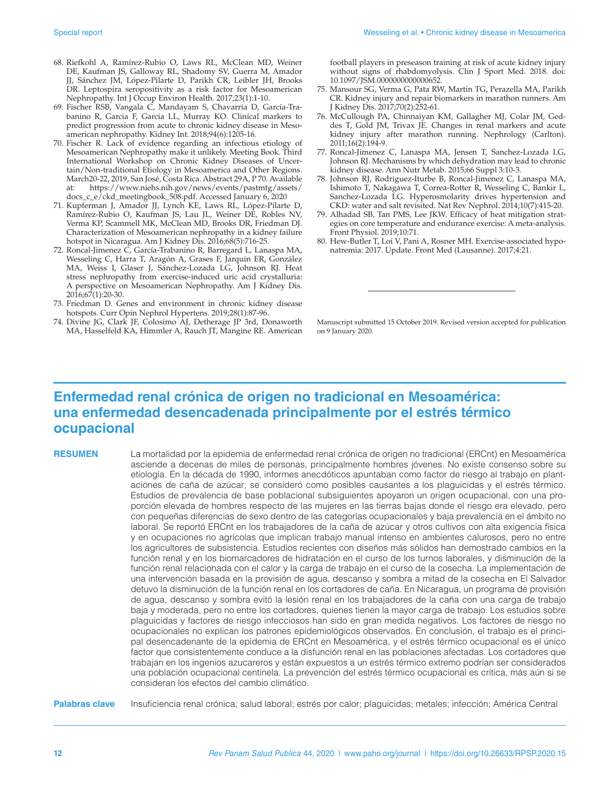- 68. Riefkohl A, Ramírez-Rubio O, Laws RL, McClean MD, Weiner DE, Kaufman JS, Galloway RL, Shadomy SV, Guerra M, Amador JJ, Sánchez JM, López-Pilarte D, Parikh CR, Leibler JH, Brooks DR. Leptospira seropositivity as a risk factor for Mesoamerican Nephropathy. Int J Occup Environ Health. 2017;23(1):1-10.
- 69. Fischer RSB, Vangala C, Mandayam S, Chavarria D, García-Trabanino R, Garcia F, Garcia LL, Murray KO. Clinical markers to predict progression from acute to chronic kidney disease in Mesoamerican nephropathy. Kidney Int. 2018;94(6):1205-16.
- 70. Fischer R. Lack of evidence regarding an infectious etiology of Mesoamerican Nephropathy make it unlikely. Meeting Book. Third International Workshop on Chronic Kidney Diseases of Uncertain/Non-traditional Etiology in Mesoamerica and Other Regions. March20-22, 2019, San José, Costa Rica. Abstract 29A, P 70. Available at: [https://www.niehs.nih.gov/news/events/pastmtg/assets/](https://www.niehs.nih.gov/news/events/pastmtg/assets/docs_c_e/ckd_meetingbook_508.pdf) [docs\\_c\\_e/ckd\\_meetingbook\\_508.pdf](https://www.niehs.nih.gov/news/events/pastmtg/assets/docs_c_e/ckd_meetingbook_508.pdf). Accessed January 6, 2020
- 71. Kupferman J, Amador JJ, Lynch KE, Laws RL, López-Pilarte D, Ramírez-Rubio O, Kaufman JS, Lau JL, Weiner DE, Robles NV, Verma KP, Scammell MK, McClean MD, Brooks DR, Friedman DJ. Characterization of Mesoamerican nephropathy in a kidney failure hotspot in Nicaragua. Am J Kidney Dis. 2016;68(5):716-25.
- 72. Roncal-Jimenez C, García-Trabanino R, Barregard L, Lanaspa MA, Wesseling C, Harra T, Aragón A, Grases F, Jarquin ER, González MA, Weiss I, Glaser J, Sánchez-Lozada LG, Johnson RJ. Heat stress nephropathy from exercise-induced uric acid crystalluria: A perspective on Mesoamerican Nephropathy. Am J Kidney Dis. 2016;67(1):20-30.
- 73. Friedman D. Genes and environment in chronic kidney disease hotspots. Curr Opin Nephrol Hypertens. 2019;28(1):87-96.
- 74. Divine JG, Clark JF, Colosimo AJ, Detherage JP 3rd, Donaworth MA, Hasselfeld KA, Himmler A, Rauch JT, Mangine RE. American

football players in preseason training at risk of acute kidney injury without signs of rhabdomyolysis. Clin J Sport Med. 2018. doi: 10.1097/JSM.0000000000000652.

- 75. Mansour SG, Verma G, Pata RW, Martin TG, Perazella MA, Parikh CR. Kidney injury and repair biomarkers in marathon runners. Am J Kidney Dis. 2017;70(2):252-61.
- 76. McCullough PA, Chinnaiyan KM, Gallagher MJ, Colar JM, Geddes T, Gold JM, Trivax JE. Changes in renal markers and acute kidney injury after marathon running. Nephrology (Carlton). 2011;16(2):194-9.
- 77. Roncal-Jimenez C, Lanaspa MA, Jensen T, Sanchez-Lozada LG, Johnson RJ. Mechanisms by which dehydration may lead to chronic kidney disease. Ann Nutr Metab. 2015;66 Suppl 3:10-3.
- 78. Johnson RJ, Rodriguez-Iturbe B, Roncal-Jimenez C, Lanaspa MA, Ishimoto T, Nakagawa T, Correa-Rotter R, Wesseling C, Bankir L, Sanchez-Lozada LG. Hyperosmolarity drives hypertension and CKD: water and salt revisited. Nat Rev Nephrol. 2014;10(7):415-20.
- 79. Alhadad SB, Tan PMS, Lee JKW. Efficacy of heat mitigation strategies on core temperature and endurance exercise: A meta-analysis. Front Physiol. 2019;10:71.
- 80. Hew-Butler T, Loi V, Pani A, Rosner MH. Exercise-associated hyponatremia: 2017. Update. Front Med (Lausanne). 2017;4:21.

Manuscript submitted 15 October 2019. Revised version accepted for publication on 9 January 2020.

## **Enfermedad renal crónica de origen no tradicional en Mesoamérica: una enfermedad desencadenada principalmente por el estrés térmico ocupacional**

**RESUMEN** La mortalidad por la epidemia de enfermedad renal crónica de origen no tradicional (ERCnt) en Mesoamérica asciende a decenas de miles de personas, principalmente hombres jóvenes. No existe consenso sobre su etiología. En la década de 1990, informes anecdóticos apuntaban como factor de riesgo al trabajo en plantaciones de caña de azúcar; se consideró como posibles causantes a los plaguicidas y el estrés térmico. Estudios de prevalencia de base poblacional subsiguientes apoyaron un origen ocupacional, con una proporción elevada de hombres respecto de las mujeres en las tierras bajas donde el riesgo era elevado, pero con pequeñas diferencias de sexo dentro de las categorías ocupacionales y baja prevalencia en el ámbito no laboral. Se reportó ERCnt en los trabajadores de la caña de azúcar y otros cultivos con alta exigencia física y en ocupaciones no agrícolas que implican trabajo manual intenso en ambientes calurosos, pero no entre los agricultores de subsistencia. Estudios recientes con diseños más sólidos han demostrado cambios en la función renal y en los biomarcadores de hidratación en el curso de los turnos laborales, y disminución de la función renal relacionada con el calor y la carga de trabajo en el curso de la cosecha. La implementación de una intervención basada en la provisión de agua, descanso y sombra a mitad de la cosecha en El Salvador detuvo la disminución de la función renal en los cortadores de caña. En Nicaragua, un programa de provisión de agua, descanso y sombra evitó la lesión renal en los trabajadores de la caña con una carga de trabajo baja y moderada, pero no entre los cortadores, quienes tienen la mayor carga de trabajo. Los estudios sobre plaguicidas y factores de riesgo infecciosos han sido en gran medida negativos. Los factores de riesgo no ocupacionales no explican los patrones epidemiológicos observados. En conclusión, el trabajo es el principal desencadenante de la epidemia de ERCnt en Mesoamérica, y el estrés térmico ocupacional es el único factor que consistentemente conduce a la disfunción renal en las poblaciones afectadas. Los cortadores que trabajan en los ingenios azucareros y están expuestos a un estrés térmico extremo podrían ser considerados una población ocupacional centinela. La prevención del estrés térmico ocupacional es crítica, más aún si se consideran los efectos del cambio climático.

**Palabras clave** Insuficiencia renal crónica; salud laboral; estrés por calor; plaguicidas; metales; infección; América Central